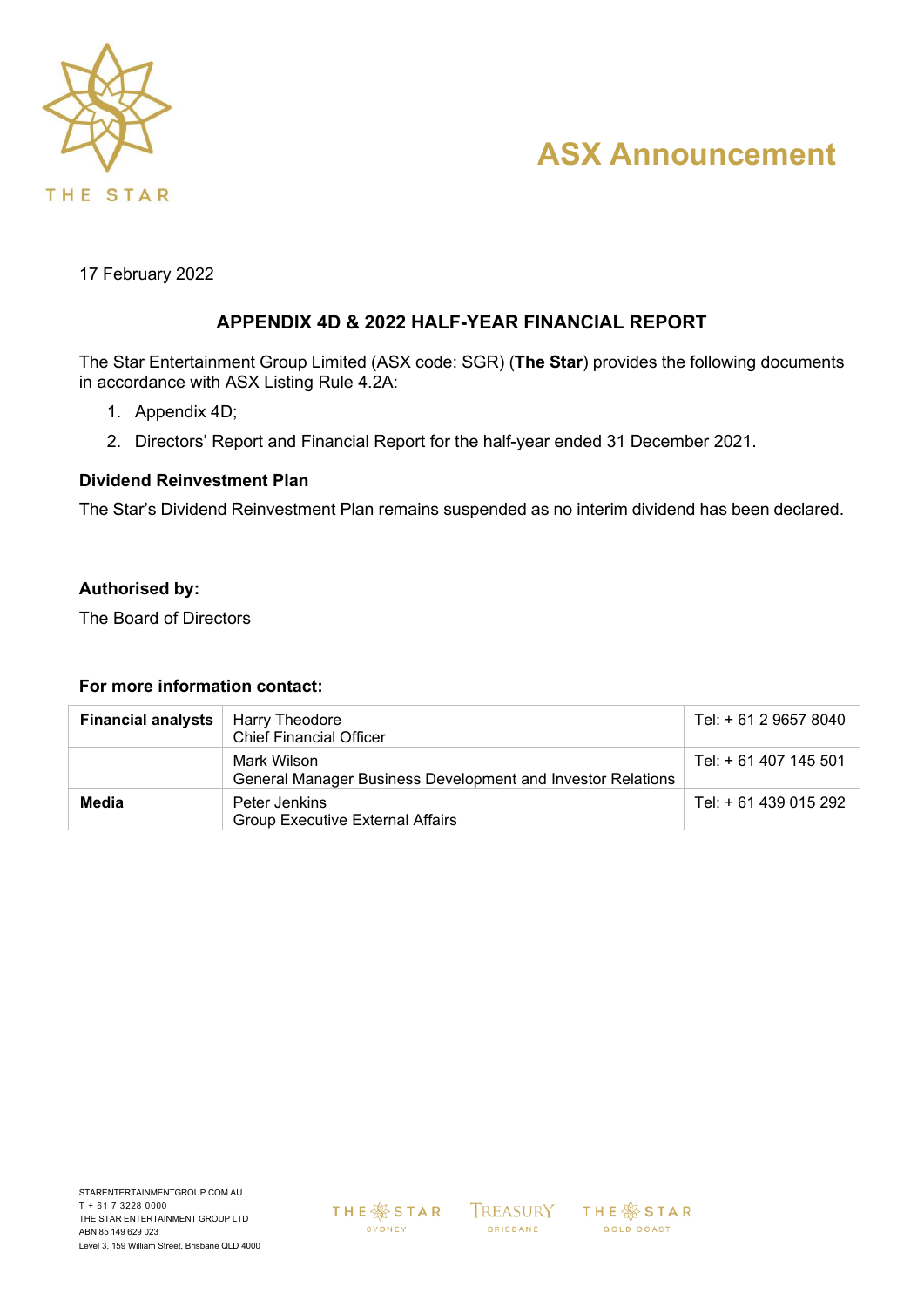

# **ASX Announcement**

17 February 2022

### **APPENDIX 4D & 2022 HALF-YEAR FINANCIAL REPORT**

The Star Entertainment Group Limited (ASX code: SGR) (**The Star**) provides the following documents in accordance with ASX Listing Rule 4.2A:

- 1. Appendix 4D;
- 2. Directors' Report and Financial Report for the half-year ended 31 December 2021.

### **Dividend Reinvestment Plan**

The Star's Dividend Reinvestment Plan remains suspended as no interim dividend has been declared.

### **Authorised by:**

The Board of Directors

### **For more information contact:**

| <b>Financial analysts</b> | Harry Theodore<br><b>Chief Financial Officer</b>                           | Tel: + 61 2 9657 8040 |
|---------------------------|----------------------------------------------------------------------------|-----------------------|
|                           | Mark Wilson<br>General Manager Business Development and Investor Relations | Tel: + 61 407 145 501 |
| Media                     | Peter Jenkins<br><b>Group Executive External Affairs</b>                   | Tel: + 61 439 015 292 |

THE **\$**STAR SYDNEY

TREASURY **BRISBANE** 

**THE ※ STAR** GOLD COAST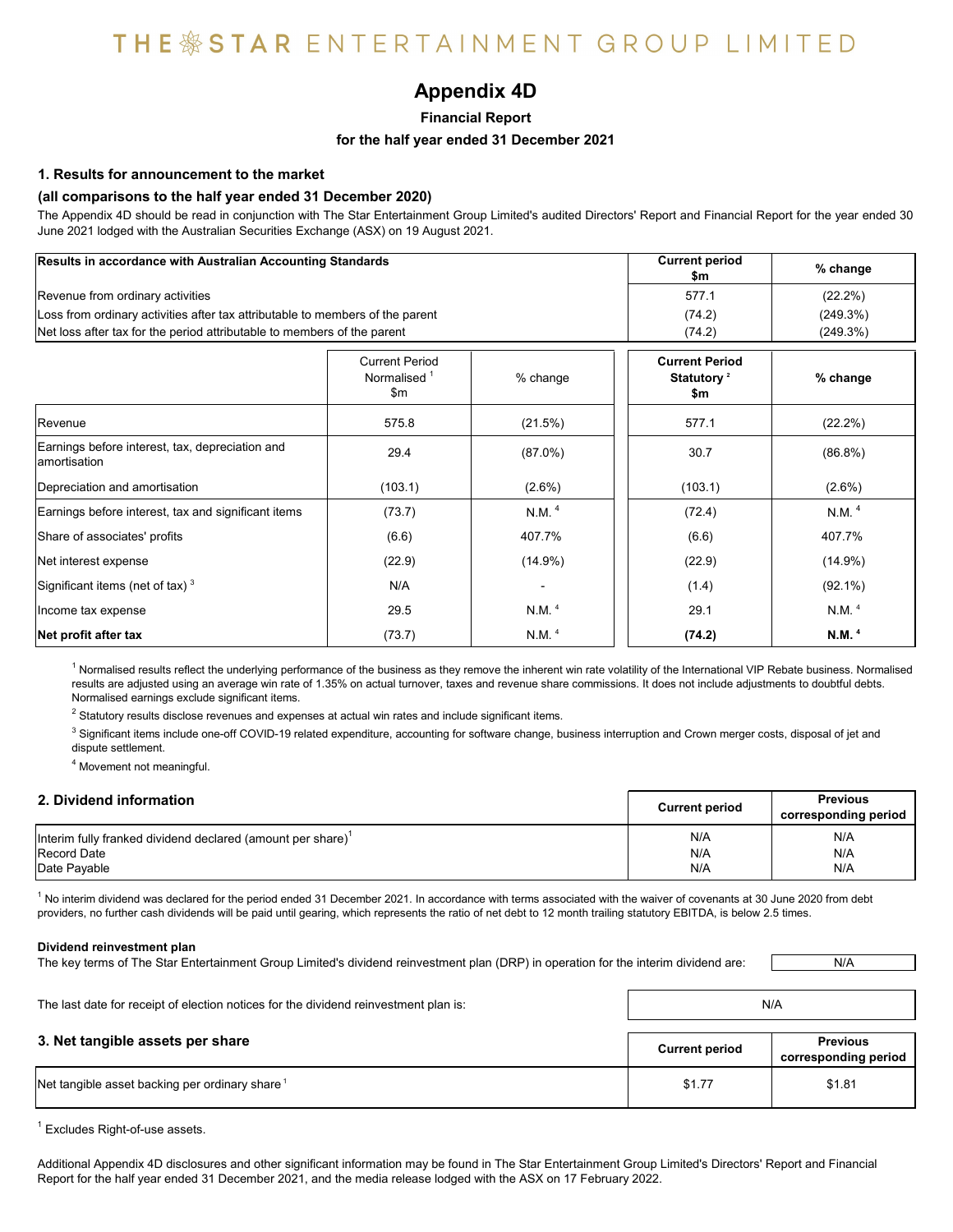### **Appendix 4D**

**Financial Report**

#### **for the half year ended 31 December 2021**

#### **1. Results for announcement to the market**

#### **(all comparisons to the half year ended 31 December 2020)**

The Appendix 4D should be read in conjunction with The Star Entertainment Group Limited's audited Directors' Report and Financial Report for the year ended 30 June 2021 lodged with the Australian Securities Exchange (ASX) on 19 August 2021.

| Results in accordance with Australian Accounting Standards                    |                                                         |                   | <b>Current period</b><br>\$m                           | % change          |
|-------------------------------------------------------------------------------|---------------------------------------------------------|-------------------|--------------------------------------------------------|-------------------|
| Revenue from ordinary activities                                              |                                                         |                   | 577.1                                                  | $(22.2\%)$        |
| Loss from ordinary activities after tax attributable to members of the parent | (74.2)                                                  | (249.3%)          |                                                        |                   |
| Net loss after tax for the period attributable to members of the parent       |                                                         |                   | (74.2)                                                 | (249.3%)          |
|                                                                               | <b>Current Period</b><br>Normalised <sup>1</sup><br>\$m | % change          | <b>Current Period</b><br>Statutory <sup>2</sup><br>\$m | % change          |
| Revenue                                                                       | 575.8                                                   | (21.5%)           | 577.1                                                  | $(22.2\%)$        |
| Earnings before interest, tax, depreciation and<br>lamortisation              | 29.4                                                    | $(87.0\%)$        | 30.7                                                   | $(86.8\%)$        |
| Depreciation and amortisation                                                 | (103.1)                                                 | $(2.6\%)$         | (103.1)                                                | $(2.6\%)$         |
| Earnings before interest, tax and significant items                           | (73.7)                                                  | N.M. $4$          | (72.4)                                                 | N.M. <sup>4</sup> |
| Share of associates' profits                                                  | (6.6)                                                   | 407.7%            | (6.6)                                                  | 407.7%            |
| Net interest expense                                                          | (22.9)                                                  | $(14.9\%)$        | (22.9)                                                 | $(14.9\%)$        |
| Significant items (net of tax) $3$                                            | N/A                                                     |                   | (1.4)                                                  | $(92.1\%)$        |
| Income tax expense                                                            | 29.5                                                    | N.M. <sup>4</sup> | 29.1                                                   | N.M. <sup>4</sup> |
| Net profit after tax                                                          | (73.7)                                                  | N.M. <sup>4</sup> | (74.2)                                                 | N.M. <sup>4</sup> |

<sup>1</sup> Normalised results reflect the underlying performance of the business as they remove the inherent win rate volatility of the International VIP Rebate business. Normalised results are adjusted using an average win rate of 1.35% on actual turnover, taxes and revenue share commissions. It does not include adjustments to doubtful debts. Normalised earnings exclude significant items.

 $^2$  Statutory results disclose revenues and expenses at actual win rates and include significant items.

 $^3$  Significant items include one-off COVID-19 related expenditure, accounting for software change, business interruption and Crown merger costs, disposal of jet and dispute settlement.

<sup>4</sup> Movement not meaningful.

| 2. Dividend information                                        | <b>Current period</b> | <b>Previous</b><br>corresponding period |
|----------------------------------------------------------------|-----------------------|-----------------------------------------|
| Interim fully franked dividend declared (amount per share) $1$ | N/A                   | N/A                                     |
| <b>Record Date</b>                                             | N/A                   | N/A                                     |
| Date Pavable                                                   | N/A                   | N/A                                     |

 $^1$  No interim dividend was declared for the period ended 31 December 2021. In accordance with terms associated with the waiver of covenants at 30 June 2020 from debt providers, no further cash dividends will be paid until gearing, which represents the ratio of net debt to 12 month trailing statutory EBITDA, is below 2.5 times.

#### **Dividend reinvestment plan**

The key terms of The Star Entertainment Group Limited's dividend reinvestment plan (DRP) in operation for the interim dividend are:

| The last date for receipt of election notices for the dividend reinvestment plan is: | N/A                   |                                         |
|--------------------------------------------------------------------------------------|-----------------------|-----------------------------------------|
| 3. Net tangible assets per share                                                     | <b>Current period</b> | <b>Previous</b><br>corresponding period |
| Net tangible asset backing per ordinary share <sup>1</sup>                           | \$1.77                | \$1.81                                  |

 $^1$  Excludes Right-of-use assets.

Additional Appendix 4D disclosures and other significant information may be found in The Star Entertainment Group Limited's Directors' Report and Financial Report for the half year ended 31 December 2021, and the media release lodged with the ASX on 17 February 2022.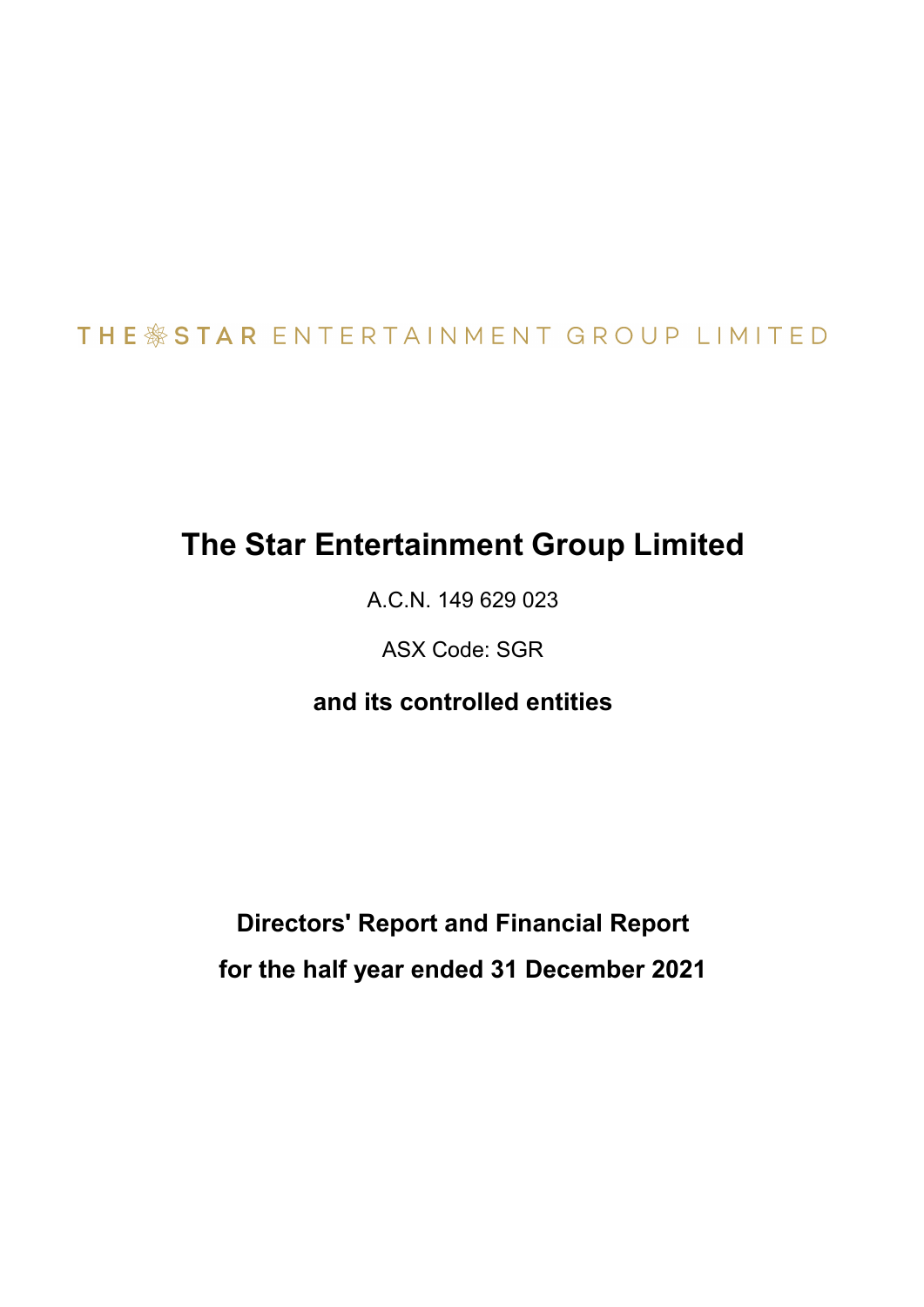# THE \*STAR ENTERTAINMENT GROUP LIMITED

# **The Star Entertainment Group Limited**

A.C.N. 149 629 023

ASX Code: SGR

## **and its controlled entities**

**Directors' Report and Financial Report for the half year ended 31 December 2021**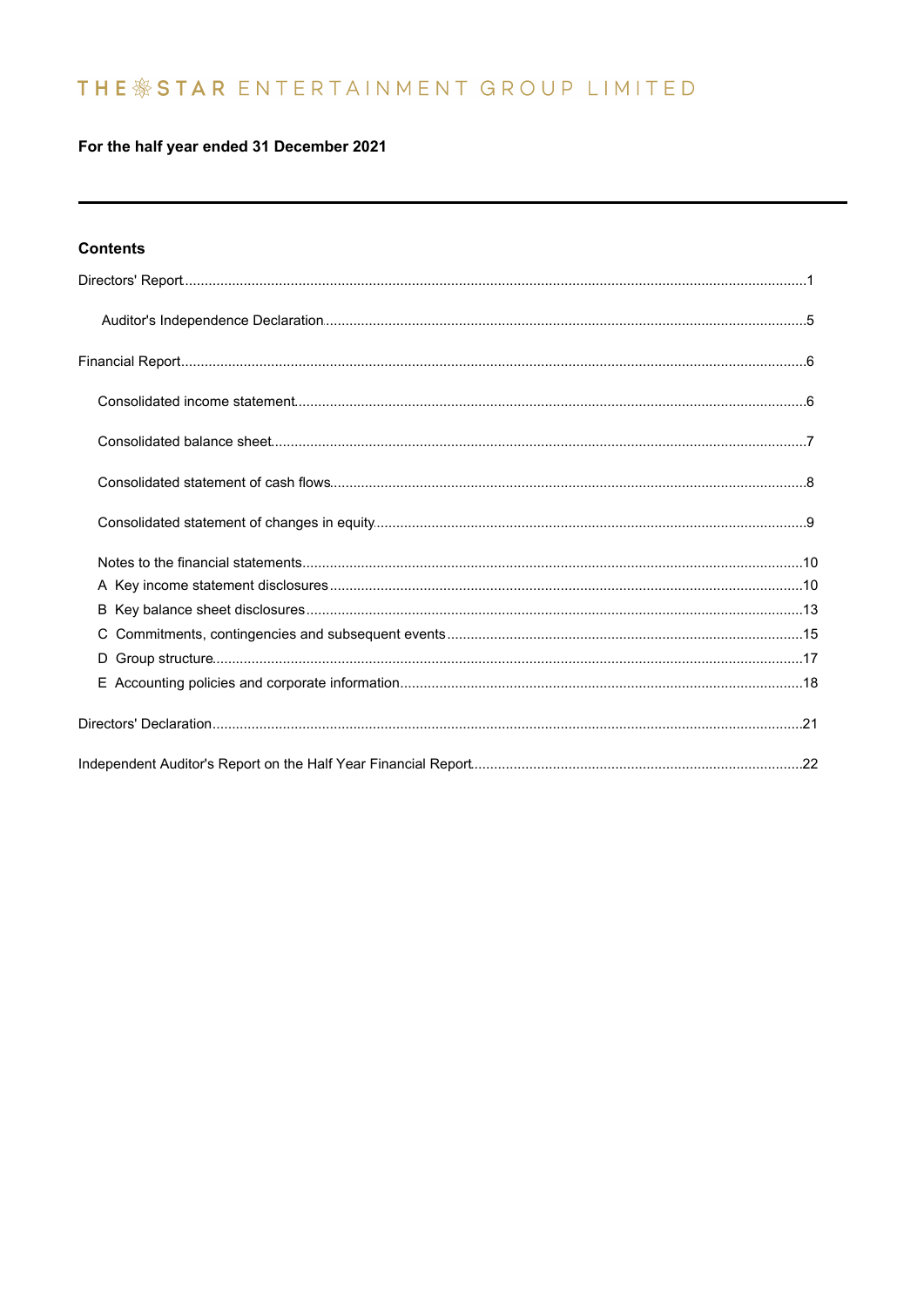## THE \* STAR ENTERTAINMENT GROUP LIMITED

### For the half year ended 31 December 2021

### **Contents**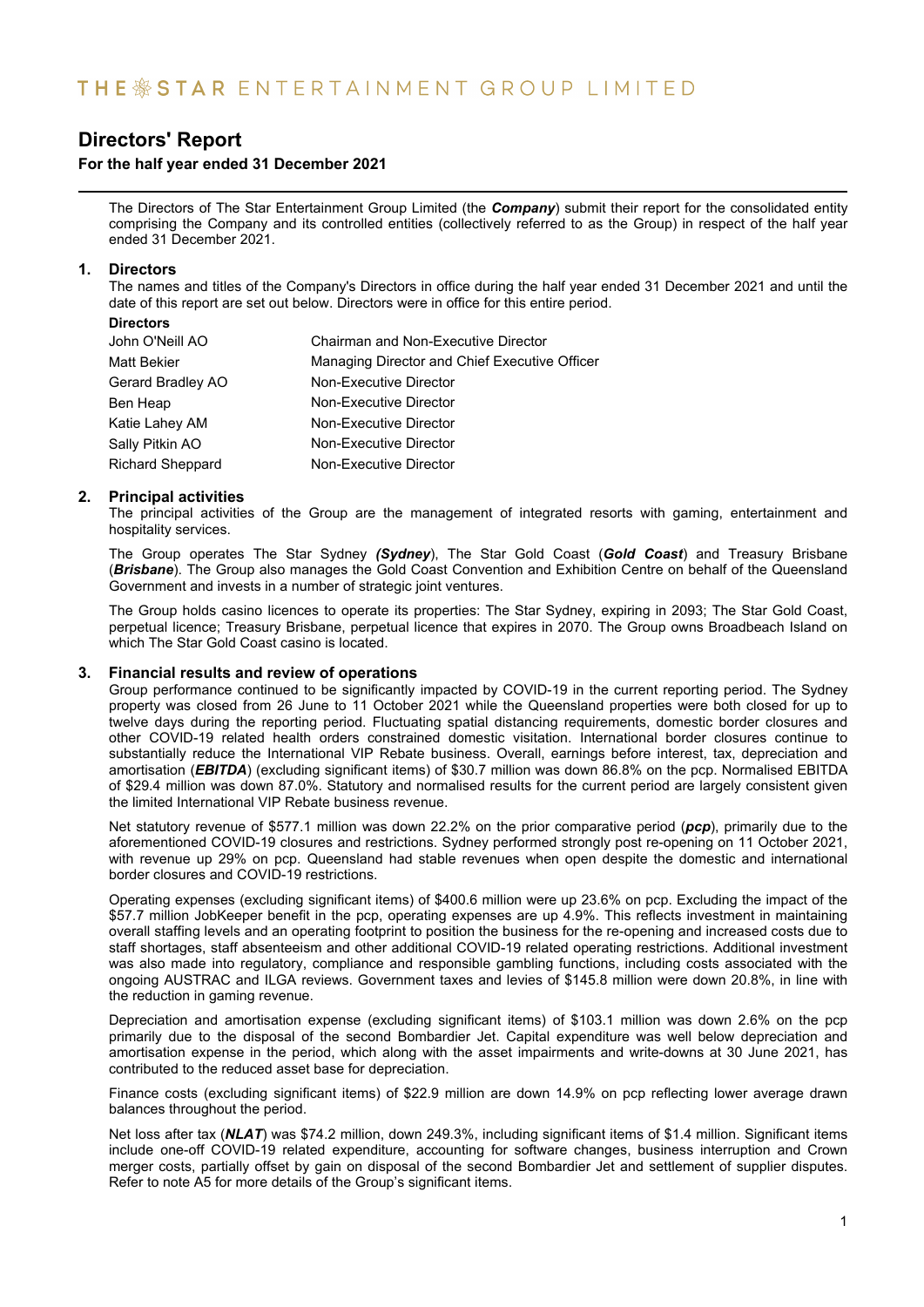### **For the half year ended 31 December 2021**

The Directors of The Star Entertainment Group Limited (the *Company*) submit their report for the consolidated entity comprising the Company and its controlled entities (collectively referred to as the Group) in respect of the half year ended 31 December 2021.

### **1. Directors**

The names and titles of the Company's Directors in office during the half year ended 31 December 2021 and until the date of this report are set out below. Directors were in office for this entire period.

| <b>Directors</b>        |                                               |
|-------------------------|-----------------------------------------------|
| John O'Neill AO         | <b>Chairman and Non-Executive Director</b>    |
| <b>Matt Bekier</b>      | Managing Director and Chief Executive Officer |
| Gerard Bradley AO       | Non-Executive Director                        |
| Ben Heap                | Non-Executive Director                        |
| Katie Lahey AM          | Non-Executive Director                        |
| Sally Pitkin AO         | Non-Executive Director                        |
| <b>Richard Sheppard</b> | Non-Executive Director                        |

### **2. Principal activities**

The principal activities of the Group are the management of integrated resorts with gaming, entertainment and hospitality services.

The Group operates The Star Sydney *(Sydney*), The Star Gold Coast (*Gold Coast*) and Treasury Brisbane (*Brisbane*). The Group also manages the Gold Coast Convention and Exhibition Centre on behalf of the Queensland Government and invests in a number of strategic joint ventures.

The Group holds casino licences to operate its properties: The Star Sydney, expiring in 2093; The Star Gold Coast, perpetual licence; Treasury Brisbane, perpetual licence that expires in 2070. The Group owns Broadbeach Island on which The Star Gold Coast casino is located.

### **3. Financial results and review of operations**

Group performance continued to be significantly impacted by COVID-19 in the current reporting period. The Sydney property was closed from 26 June to 11 October 2021 while the Queensland properties were both closed for up to twelve days during the reporting period. Fluctuating spatial distancing requirements, domestic border closures and other COVID-19 related health orders constrained domestic visitation. International border closures continue to substantially reduce the International VIP Rebate business. Overall, earnings before interest, tax, depreciation and amortisation (*EBITDA*) (excluding significant items) of \$30.7 million was down 86.8% on the pcp. Normalised EBITDA of \$29.4 million was down 87.0%. Statutory and normalised results for the current period are largely consistent given the limited International VIP Rebate business revenue.

Net statutory revenue of \$577.1 million was down 22.2% on the prior comparative period (*pcp*), primarily due to the aforementioned COVID-19 closures and restrictions. Sydney performed strongly post re-opening on 11 October 2021, with revenue up 29% on pcp. Queensland had stable revenues when open despite the domestic and international border closures and COVID-19 restrictions.

Operating expenses (excluding significant items) of \$400.6 million were up 23.6% on pcp. Excluding the impact of the \$57.7 million JobKeeper benefit in the pcp, operating expenses are up 4.9%. This reflects investment in maintaining overall staffing levels and an operating footprint to position the business for the re-opening and increased costs due to staff shortages, staff absenteeism and other additional COVID-19 related operating restrictions. Additional investment was also made into regulatory, compliance and responsible gambling functions, including costs associated with the ongoing AUSTRAC and ILGA reviews. Government taxes and levies of \$145.8 million were down 20.8%, in line with the reduction in gaming revenue.

Depreciation and amortisation expense (excluding significant items) of \$103.1 million was down 2.6% on the pcp primarily due to the disposal of the second Bombardier Jet. Capital expenditure was well below depreciation and amortisation expense in the period, which along with the asset impairments and write-downs at 30 June 2021, has contributed to the reduced asset base for depreciation.

Finance costs (excluding significant items) of \$22.9 million are down 14.9% on pcp reflecting lower average drawn balances throughout the period.

Net loss after tax (*NLAT*) was \$74.2 million, down 249.3%, including significant items of \$1.4 million. Significant items include one-off COVID-19 related expenditure, accounting for software changes, business interruption and Crown merger costs, partially offset by gain on disposal of the second Bombardier Jet and settlement of supplier disputes. Refer to note A5 for more details of the Group's significant items.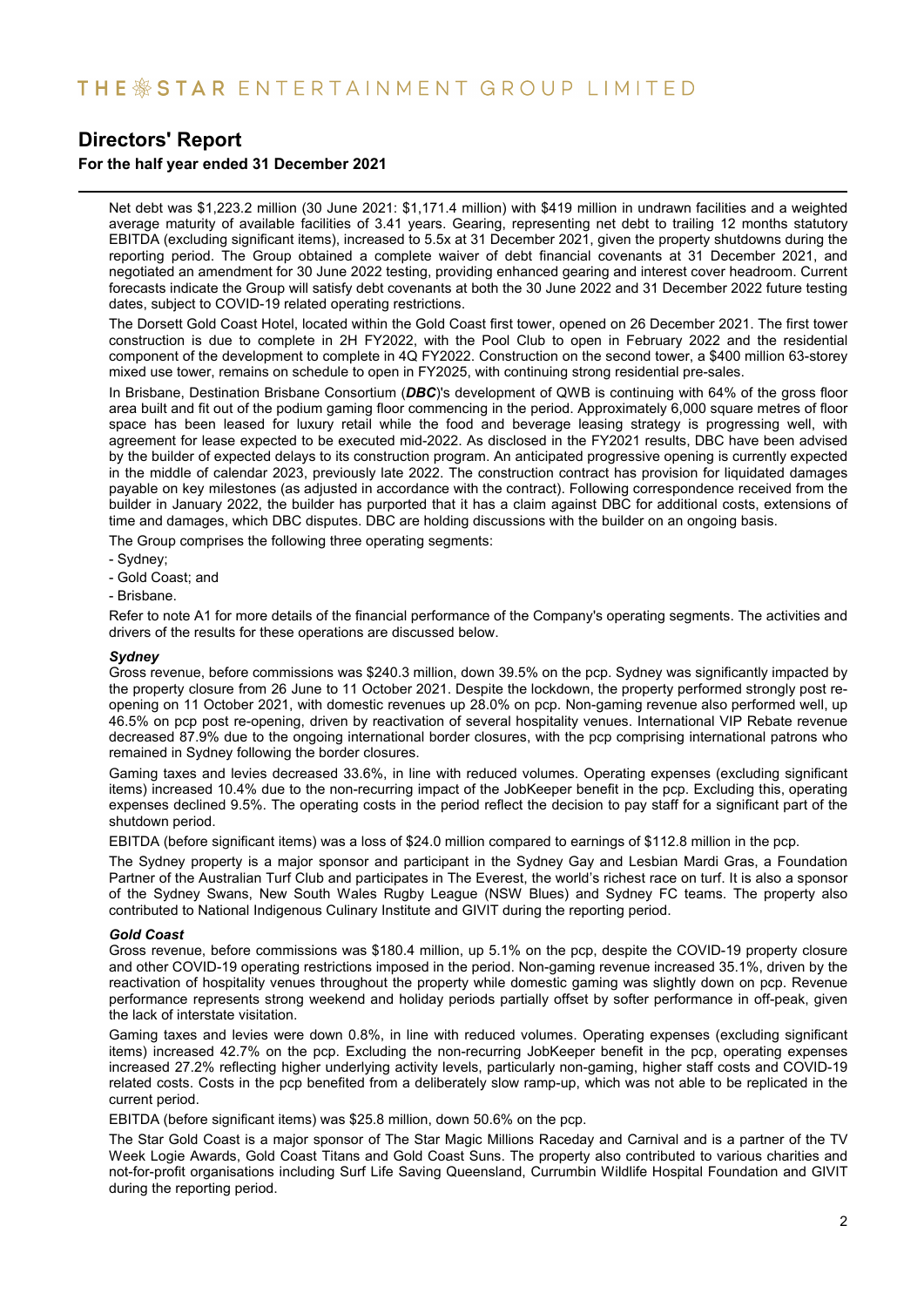### **For the half year ended 31 December 2021**

Net debt was \$1,223.2 million (30 June 2021: \$1,171.4 million) with \$419 million in undrawn facilities and a weighted average maturity of available facilities of 3.41 years. Gearing, representing net debt to trailing 12 months statutory EBITDA (excluding significant items), increased to 5.5x at 31 December 2021, given the property shutdowns during the reporting period. The Group obtained a complete waiver of debt financial covenants at 31 December 2021, and negotiated an amendment for 30 June 2022 testing, providing enhanced gearing and interest cover headroom. Current forecasts indicate the Group will satisfy debt covenants at both the 30 June 2022 and 31 December 2022 future testing dates, subject to COVID-19 related operating restrictions.

The Dorsett Gold Coast Hotel, located within the Gold Coast first tower, opened on 26 December 2021. The first tower construction is due to complete in 2H FY2022, with the Pool Club to open in February 2022 and the residential component of the development to complete in 4Q FY2022. Construction on the second tower, a \$400 million 63-storey mixed use tower, remains on schedule to open in FY2025, with continuing strong residential pre-sales.

In Brisbane, Destination Brisbane Consortium (*DBC*)'s development of QWB is continuing with 64% of the gross floor area built and fit out of the podium gaming floor commencing in the period. Approximately 6,000 square metres of floor space has been leased for luxury retail while the food and beverage leasing strategy is progressing well, with agreement for lease expected to be executed mid-2022. As disclosed in the FY2021 results, DBC have been advised by the builder of expected delays to its construction program. An anticipated progressive opening is currently expected in the middle of calendar 2023, previously late 2022. The construction contract has provision for liquidated damages payable on key milestones (as adjusted in accordance with the contract). Following correspondence received from the builder in January 2022, the builder has purported that it has a claim against DBC for additional costs, extensions of time and damages, which DBC disputes. DBC are holding discussions with the builder on an ongoing basis.

The Group comprises the following three operating segments:

- Sydney;
- Gold Coast; and
- Brisbane.

Refer to note A1 for more details of the financial performance of the Company's operating segments. The activities and drivers of the results for these operations are discussed below.

#### *Sydney*

Gross revenue, before commissions was \$240.3 million, down 39.5% on the pcp. Sydney was significantly impacted by the property closure from 26 June to 11 October 2021. Despite the lockdown, the property performed strongly post reopening on 11 October 2021, with domestic revenues up 28.0% on pcp. Non-gaming revenue also performed well, up 46.5% on pcp post re-opening, driven by reactivation of several hospitality venues. International VIP Rebate revenue decreased 87.9% due to the ongoing international border closures, with the pcp comprising international patrons who remained in Sydney following the border closures.

Gaming taxes and levies decreased 33.6%, in line with reduced volumes. Operating expenses (excluding significant items) increased 10.4% due to the non-recurring impact of the JobKeeper benefit in the pcp. Excluding this, operating expenses declined 9.5%. The operating costs in the period reflect the decision to pay staff for a significant part of the shutdown period.

EBITDA (before significant items) was a loss of \$24.0 million compared to earnings of \$112.8 million in the pcp.

The Sydney property is a major sponsor and participant in the Sydney Gay and Lesbian Mardi Gras, a Foundation Partner of the Australian Turf Club and participates in The Everest, the world's richest race on turf. It is also a sponsor of the Sydney Swans, New South Wales Rugby League (NSW Blues) and Sydney FC teams. The property also contributed to National Indigenous Culinary Institute and GIVIT during the reporting period.

#### *Gold Coast*

Gross revenue, before commissions was \$180.4 million, up 5.1% on the pcp, despite the COVID-19 property closure and other COVID-19 operating restrictions imposed in the period. Non-gaming revenue increased 35.1%, driven by the reactivation of hospitality venues throughout the property while domestic gaming was slightly down on pcp. Revenue performance represents strong weekend and holiday periods partially offset by softer performance in off-peak, given the lack of interstate visitation.

Gaming taxes and levies were down 0.8%, in line with reduced volumes. Operating expenses (excluding significant items) increased 42.7% on the pcp. Excluding the non-recurring JobKeeper benefit in the pcp, operating expenses increased 27.2% reflecting higher underlying activity levels, particularly non-gaming, higher staff costs and COVID-19 related costs. Costs in the pcp benefited from a deliberately slow ramp-up, which was not able to be replicated in the current period.

EBITDA (before significant items) was \$25.8 million, down 50.6% on the pcp.

The Star Gold Coast is a major sponsor of The Star Magic Millions Raceday and Carnival and is a partner of the TV Week Logie Awards, Gold Coast Titans and Gold Coast Suns. The property also contributed to various charities and not-for-profit organisations including Surf Life Saving Queensland, Currumbin Wildlife Hospital Foundation and GIVIT during the reporting period.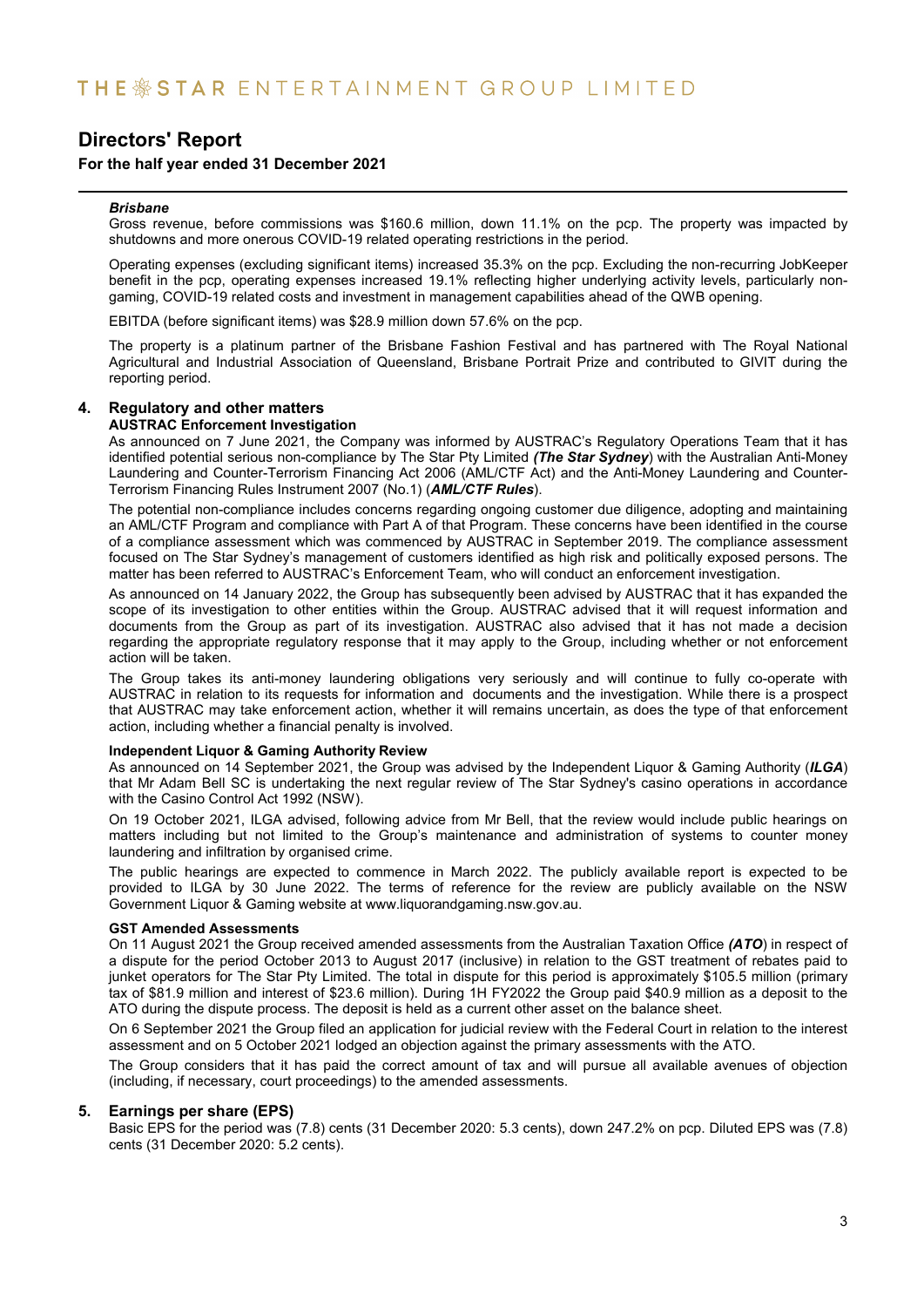### **For the half year ended 31 December 2021**

#### *Brisbane*

Gross revenue, before commissions was \$160.6 million, down 11.1% on the pcp. The property was impacted by shutdowns and more onerous COVID-19 related operating restrictions in the period.

Operating expenses (excluding significant items) increased 35.3% on the pcp. Excluding the non-recurring JobKeeper benefit in the pcp, operating expenses increased 19.1% reflecting higher underlying activity levels, particularly nongaming, COVID-19 related costs and investment in management capabilities ahead of the QWB opening.

EBITDA (before significant items) was \$28.9 million down 57.6% on the pcp.

The property is a platinum partner of the Brisbane Fashion Festival and has partnered with The Royal National Agricultural and Industrial Association of Queensland, Brisbane Portrait Prize and contributed to GIVIT during the reporting period.

### **4. Regulatory and other matters**

#### **AUSTRAC Enforcement Investigation**

As announced on 7 June 2021, the Company was informed by AUSTRAC's Regulatory Operations Team that it has identified potential serious non-compliance by The Star Pty Limited *(The Star Sydney*) with the Australian Anti-Money Laundering and Counter-Terrorism Financing Act 2006 (AML/CTF Act) and the Anti-Money Laundering and Counter-Terrorism Financing Rules Instrument 2007 (No.1) (*AML/CTF Rules*).

The potential non-compliance includes concerns regarding ongoing customer due diligence, adopting and maintaining an AML/CTF Program and compliance with Part A of that Program. These concerns have been identified in the course of a compliance assessment which was commenced by AUSTRAC in September 2019. The compliance assessment focused on The Star Sydney's management of customers identified as high risk and politically exposed persons. The matter has been referred to AUSTRAC's Enforcement Team, who will conduct an enforcement investigation.

As announced on 14 January 2022, the Group has subsequently been advised by AUSTRAC that it has expanded the scope of its investigation to other entities within the Group. AUSTRAC advised that it will request information and documents from the Group as part of its investigation. AUSTRAC also advised that it has not made a decision regarding the appropriate regulatory response that it may apply to the Group, including whether or not enforcement action will be taken.

The Group takes its anti-money laundering obligations very seriously and will continue to fully co-operate with AUSTRAC in relation to its requests for information and documents and the investigation. While there is a prospect that AUSTRAC may take enforcement action, whether it will remains uncertain, as does the type of that enforcement action, including whether a financial penalty is involved.

#### **Independent Liquor & Gaming Authority Review**

As announced on 14 September 2021, the Group was advised by the Independent Liquor & Gaming Authority (*ILGA*) that Mr Adam Bell SC is undertaking the next regular review of The Star Sydney's casino operations in accordance with the Casino Control Act 1992 (NSW).

On 19 October 2021, ILGA advised, following advice from Mr Bell, that the review would include public hearings on matters including but not limited to the Group's maintenance and administration of systems to counter money laundering and infiltration by organised crime.

The public hearings are expected to commence in March 2022. The publicly available report is expected to be provided to ILGA by 30 June 2022. The terms of reference for the review are publicly available on the NSW Government Liquor & Gaming website at www.liquorandgaming.nsw.gov.au.

#### **GST Amended Assessments**

On 11 August 2021 the Group received amended assessments from the Australian Taxation Office *(ATO*) in respect of a dispute for the period October 2013 to August 2017 (inclusive) in relation to the GST treatment of rebates paid to junket operators for The Star Pty Limited. The total in dispute for this period is approximately \$105.5 million (primary tax of \$81.9 million and interest of \$23.6 million). During 1H FY2022 the Group paid \$40.9 million as a deposit to the ATO during the dispute process. The deposit is held as a current other asset on the balance sheet.

On 6 September 2021 the Group filed an application for judicial review with the Federal Court in relation to the interest assessment and on 5 October 2021 lodged an objection against the primary assessments with the ATO.

The Group considers that it has paid the correct amount of tax and will pursue all available avenues of objection (including, if necessary, court proceedings) to the amended assessments.

#### **5. Earnings per share (EPS)**

Basic EPS for the period was (7.8) cents (31 December 2020: 5.3 cents), down 247.2% on pcp. Diluted EPS was (7.8) cents (31 December 2020: 5.2 cents).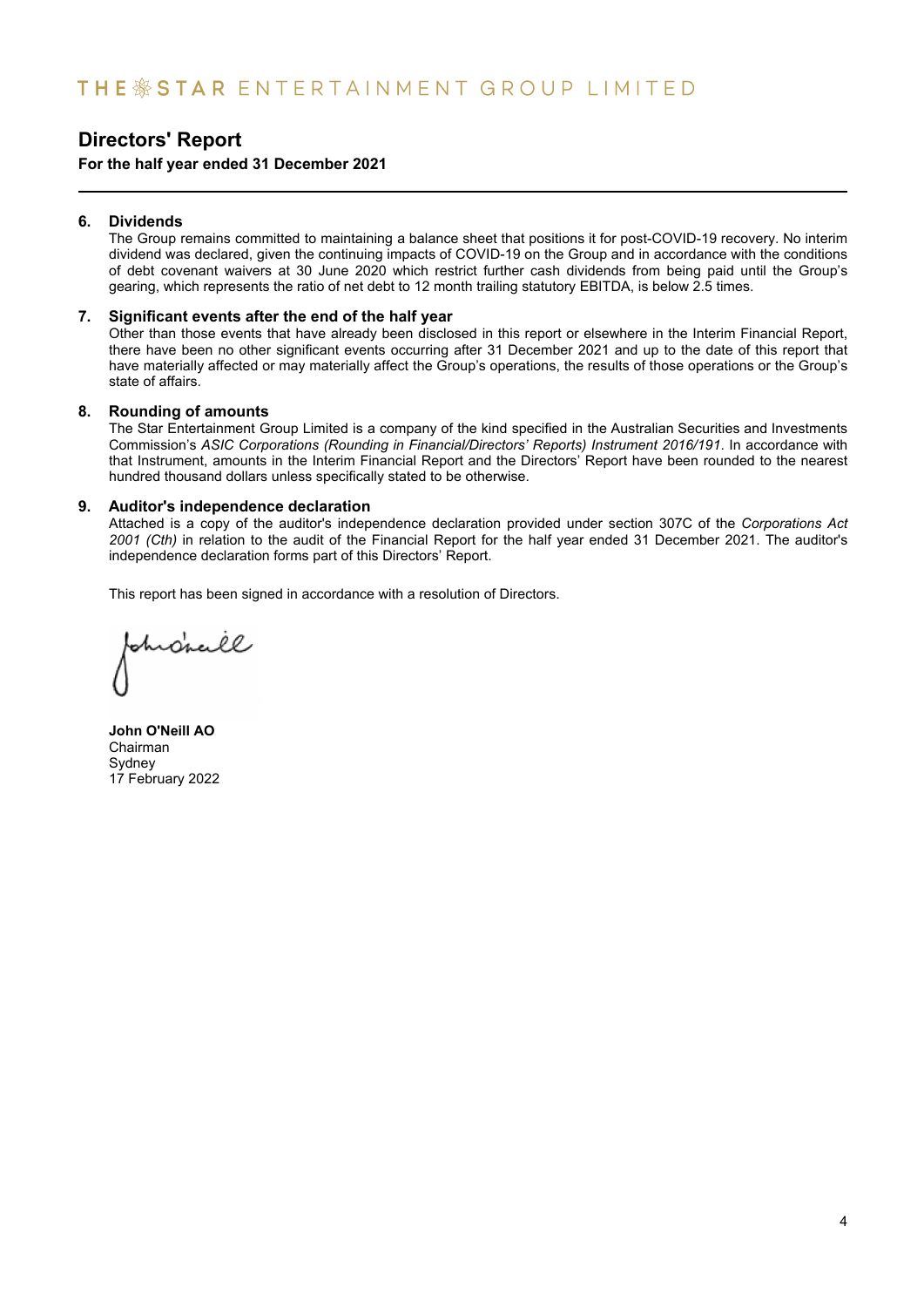### **For the half year ended 31 December 2021**

### **6. Dividends**

The Group remains committed to maintaining a balance sheet that positions it for post-COVID-19 recovery. No interim dividend was declared, given the continuing impacts of COVID-19 on the Group and in accordance with the conditions of debt covenant waivers at 30 June 2020 which restrict further cash dividends from being paid until the Group's gearing, which represents the ratio of net debt to 12 month trailing statutory EBITDA, is below 2.5 times.

### **7. Significant events after the end of the half year**

Other than those events that have already been disclosed in this report or elsewhere in the Interim Financial Report, there have been no other significant events occurring after 31 December 2021 and up to the date of this report that have materially affected or may materially affect the Group's operations, the results of those operations or the Group's state of affairs.

### **8. Rounding of amounts**

The Star Entertainment Group Limited is a company of the kind specified in the Australian Securities and Investments Commission's *ASIC Corporations (Rounding in Financial/Directors' Reports) Instrument 2016/191*. In accordance with that Instrument, amounts in the Interim Financial Report and the Directors' Report have been rounded to the nearest hundred thousand dollars unless specifically stated to be otherwise.

### **9. Auditor's independence declaration**

Attached is a copy of the auditor's independence declaration provided under section 307C of the *Corporations Act 2001 (Cth)* in relation to the audit of the Financial Report for the half year ended 31 December 2021. The auditor's independence declaration forms part of this Directors' Report.

This report has been signed in accordance with a resolution of Directors.

hrdreill

**John O'Neill AO** Chairman Sydney 17 February 2022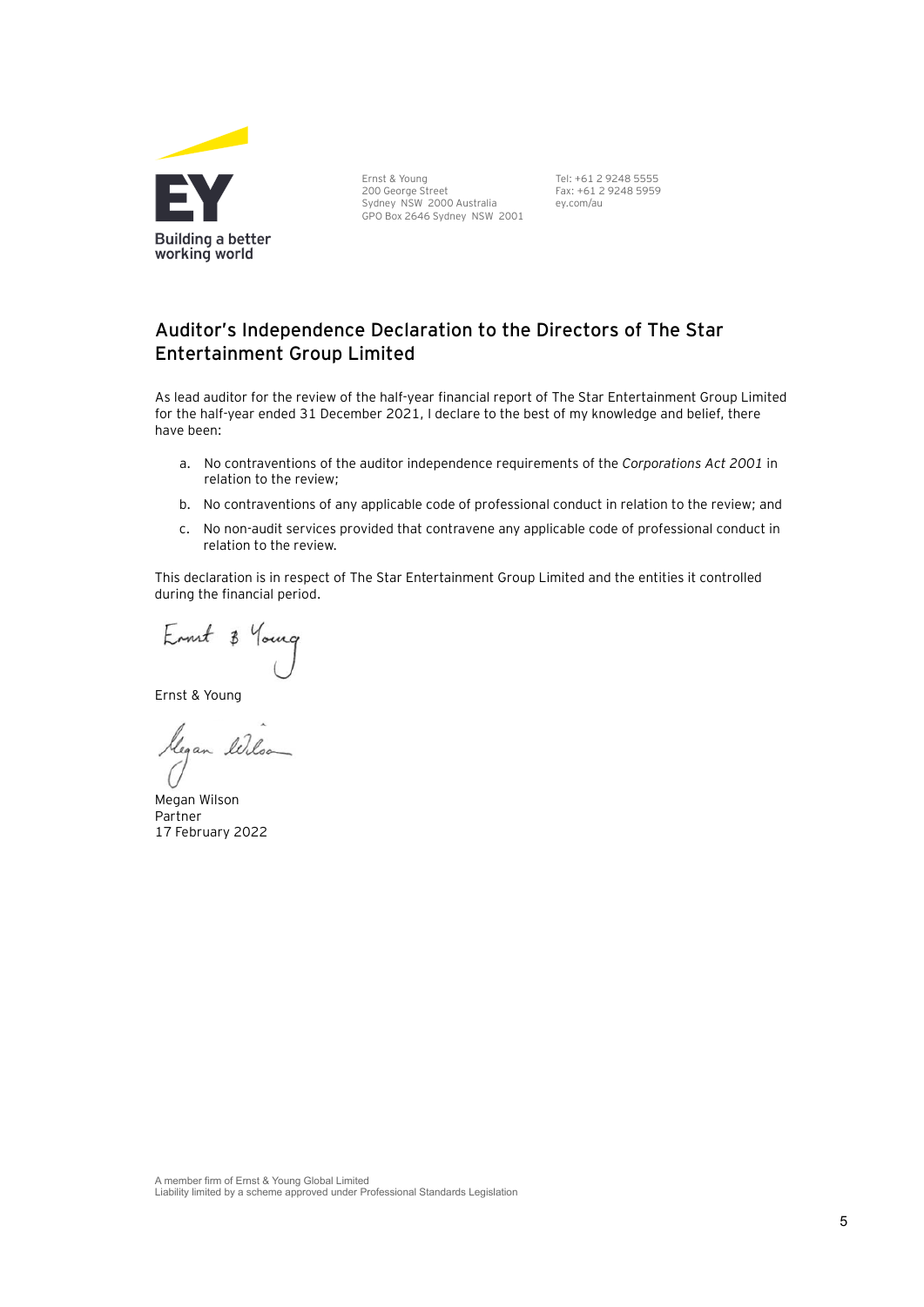

Ernst & Young 200 George Street Sydney NSW 2000 Australia GPO Box 2646 Sydney NSW 2001 Tel: +61 2 9248 5555 Fax: +61 2 9248 5959 ey.com/au

### Auditor's Independence Declaration to the Directors of The Star **Entertainment Group Limited**

As lead auditor for the review of the half-year financial report of The Star Entertainment Group Limited for the half-year ended 31 December 2021, I declare to the best of my knowledge and belief, there have been:

- a. No contraventions of the auditor independence requirements of the *Corporations Act 2001* in relation to the review;
- b. No contraventions of any applicable code of professional conduct in relation to the review; and
- c. No non-audit services provided that contravene any applicable code of professional conduct in relation to the review.

This declaration is in respect of The Star Entertainment Group Limited and the entities it controlled during the financial period.

Ennet 3

Ernst & Young

Glegan Illo

Megan Wilson Partner 17 February 2022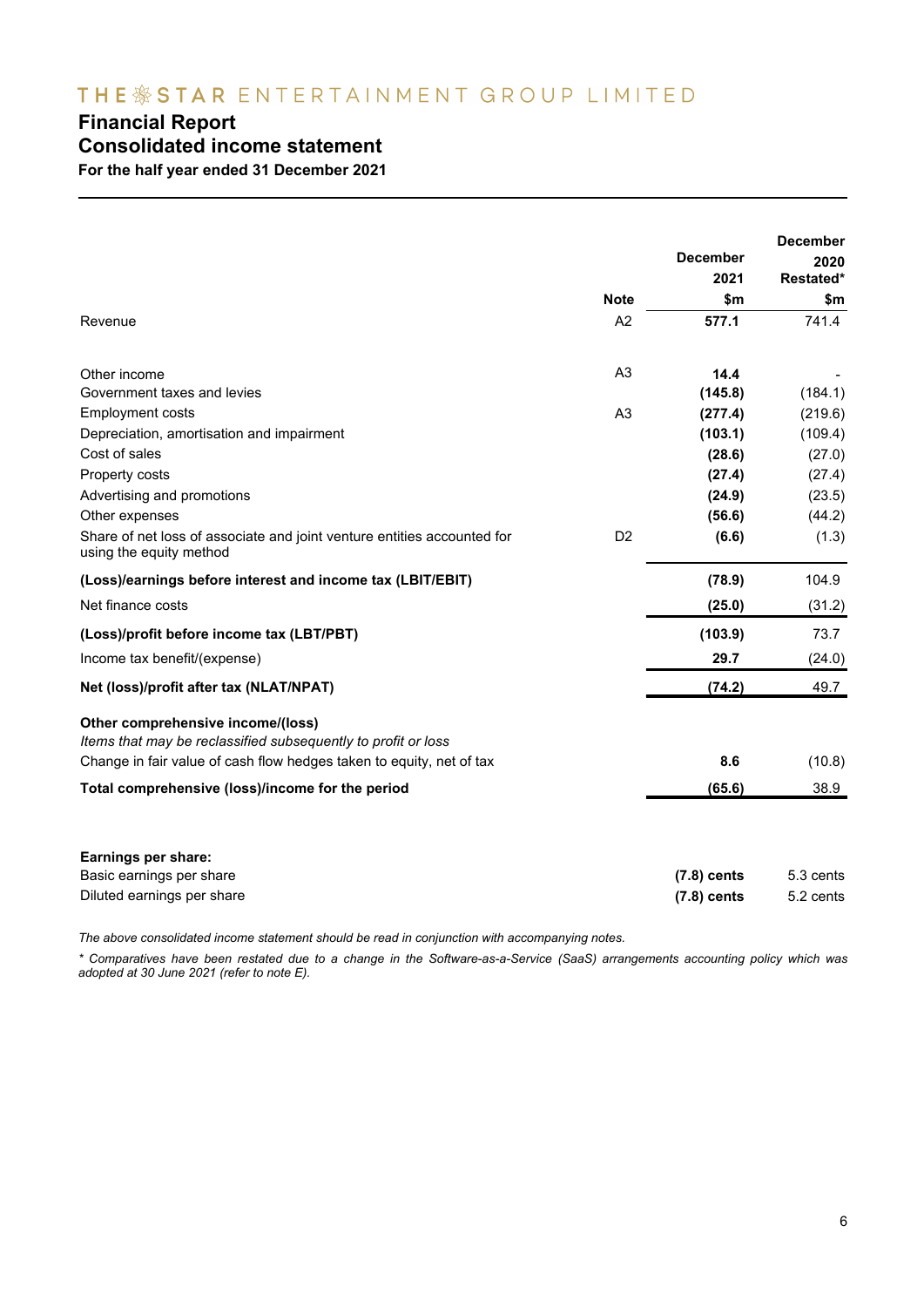## THE SSTAR ENTERTAINMENT GROUP LIMITED

## **Financial Report**

### **Consolidated income statement**

**For the half year ended 31 December 2021**

|                                                                                                    |                | <b>December</b><br>2021 | <b>December</b><br>2020<br>Restated* |
|----------------------------------------------------------------------------------------------------|----------------|-------------------------|--------------------------------------|
|                                                                                                    | <b>Note</b>    | \$m                     | \$m                                  |
| Revenue                                                                                            | A2             | 577.1                   | 741.4                                |
| Other income                                                                                       | A <sub>3</sub> | 14.4                    |                                      |
| Government taxes and levies                                                                        |                | (145.8)                 | (184.1)                              |
| <b>Employment costs</b>                                                                            | A <sub>3</sub> | (277.4)                 | (219.6)                              |
| Depreciation, amortisation and impairment                                                          |                | (103.1)                 | (109.4)                              |
| Cost of sales                                                                                      |                | (28.6)                  | (27.0)                               |
| Property costs                                                                                     |                | (27.4)                  | (27.4)                               |
| Advertising and promotions                                                                         |                | (24.9)                  | (23.5)                               |
| Other expenses                                                                                     |                | (56.6)                  | (44.2)                               |
| Share of net loss of associate and joint venture entities accounted for<br>using the equity method | D <sub>2</sub> | (6.6)                   | (1.3)                                |
| (Loss)/earnings before interest and income tax (LBIT/EBIT)                                         |                | (78.9)                  | 104.9                                |
| Net finance costs                                                                                  |                | (25.0)                  | (31.2)                               |
| (Loss)/profit before income tax (LBT/PBT)                                                          |                | (103.9)                 | 73.7                                 |
| Income tax benefit/(expense)                                                                       |                | 29.7                    | (24.0)                               |
| Net (loss)/profit after tax (NLAT/NPAT)                                                            |                | (74.2)                  | 49.7                                 |
| Other comprehensive income/(loss)<br>Items that may be reclassified subsequently to profit or loss |                |                         |                                      |
| Change in fair value of cash flow hedges taken to equity, net of tax                               |                | 8.6                     | (10.8)                               |
| Total comprehensive (loss)/income for the period                                                   |                | (65.6)                  | 38.9                                 |
| Earnings per share:                                                                                |                |                         |                                      |
| Basic earnings per share                                                                           |                | $(7.8)$ cents           | 5.3 cents                            |
| Diluted earnings per share                                                                         |                | $(7.8)$ cents           | 5.2 cents                            |

*The above consolidated income statement should be read in conjunction with accompanying notes.* 

*\* Comparatives have been restated due to a change in the Software-as-a-Service (SaaS) arrangements accounting policy which was adopted at 30 June 2021 (refer to note E).*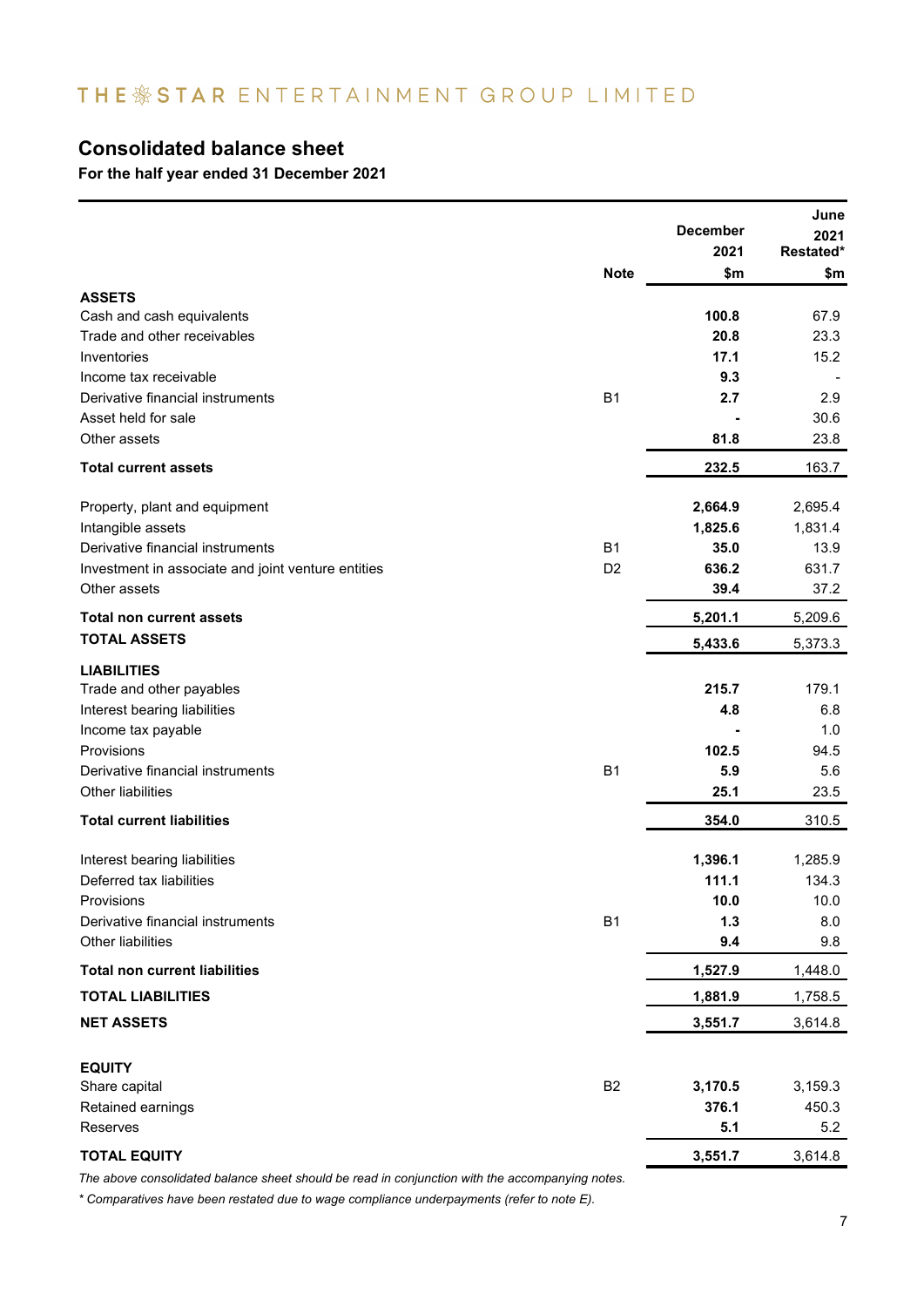## THE \*STAR ENTERTAINMENT GROUP LIMITED

## **Consolidated balance sheet**

**For the half year ended 31 December 2021**

|                                                    |                | <b>December</b><br>2021 | June<br>2021<br>Restated* |
|----------------------------------------------------|----------------|-------------------------|---------------------------|
|                                                    | <b>Note</b>    | \$m                     | \$m                       |
| <b>ASSETS</b>                                      |                |                         |                           |
| Cash and cash equivalents                          |                | 100.8                   | 67.9                      |
| Trade and other receivables                        |                | 20.8                    | 23.3                      |
| Inventories                                        |                | 17.1                    | 15.2                      |
| Income tax receivable                              |                | 9.3                     |                           |
| Derivative financial instruments                   | <b>B1</b>      | 2.7                     | 2.9                       |
| Asset held for sale                                |                |                         | 30.6                      |
| Other assets                                       |                | 81.8                    | 23.8                      |
| <b>Total current assets</b>                        |                | 232.5                   | 163.7                     |
| Property, plant and equipment                      |                | 2,664.9                 | 2,695.4                   |
| Intangible assets                                  |                | 1,825.6                 | 1,831.4                   |
| Derivative financial instruments                   | <b>B1</b>      | 35.0                    | 13.9                      |
| Investment in associate and joint venture entities | D <sub>2</sub> | 636.2                   | 631.7                     |
| Other assets                                       |                | 39.4                    | 37.2                      |
| <b>Total non current assets</b>                    |                | 5,201.1                 | 5,209.6                   |
| <b>TOTAL ASSETS</b>                                |                | 5,433.6                 | 5,373.3                   |
| <b>LIABILITIES</b>                                 |                |                         |                           |
| Trade and other payables                           |                | 215.7                   | 179.1                     |
| Interest bearing liabilities                       |                | 4.8                     | 6.8                       |
| Income tax payable                                 |                |                         | 1.0                       |
| Provisions                                         |                | 102.5                   | 94.5                      |
| Derivative financial instruments                   | <b>B1</b>      | 5.9                     | 5.6                       |
| Other liabilities                                  |                | 25.1                    | 23.5                      |
| <b>Total current liabilities</b>                   |                | 354.0                   | 310.5                     |
| Interest bearing liabilities                       |                | 1,396.1                 | 1,285.9                   |
| Deferred tax liabilities                           |                | 111.1                   | 134.3                     |
| <b>Provisions</b>                                  |                | 10.0                    | 10.0                      |
| Derivative financial instruments                   | <b>B1</b>      | 1.3                     | 8.0                       |
| Other liabilities                                  |                | 9.4                     | 9.8                       |
| <b>Total non current liabilities</b>               |                | 1,527.9                 | 1,448.0                   |
| <b>TOTAL LIABILITIES</b>                           |                | 1,881.9                 | 1,758.5                   |
| <b>NET ASSETS</b>                                  |                | 3,551.7                 | 3,614.8                   |
| <b>EQUITY</b>                                      |                |                         |                           |
| Share capital                                      | <b>B2</b>      | 3,170.5                 | 3,159.3                   |
| Retained earnings                                  |                | 376.1                   | 450.3                     |
| Reserves                                           |                | 5.1                     | 5.2                       |
| <b>TOTAL EQUITY</b>                                |                | 3,551.7                 | 3,614.8                   |
|                                                    |                |                         |                           |

*The above consolidated balance sheet should be read in conjunction with the accompanying notes.*

*\* Comparatives have been restated due to wage compliance underpayments (refer to note E).*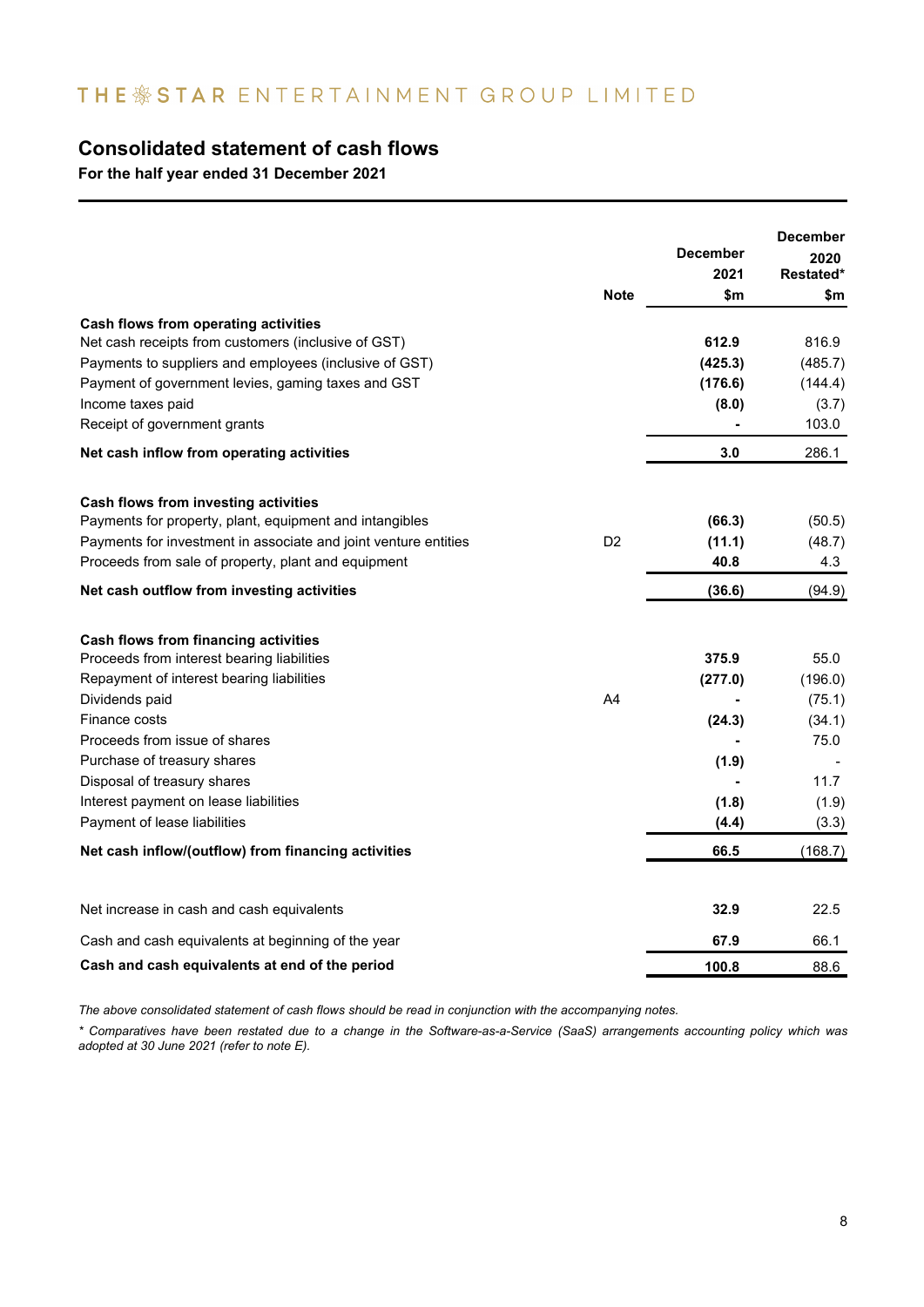## THE & STAR ENTERTAINMENT GROUP LIMITED

### **Consolidated statement of cash flows**

**For the half year ended 31 December 2021**

|                                                                 | <b>Note</b>    | <b>December</b><br>2021<br>\$m | <b>December</b><br>2020<br>Restated*<br>\$m |
|-----------------------------------------------------------------|----------------|--------------------------------|---------------------------------------------|
| Cash flows from operating activities                            |                |                                |                                             |
| Net cash receipts from customers (inclusive of GST)             |                | 612.9                          | 816.9                                       |
| Payments to suppliers and employees (inclusive of GST)          |                | (425.3)                        | (485.7)                                     |
| Payment of government levies, gaming taxes and GST              |                | (176.6)                        | (144.4)                                     |
| Income taxes paid                                               |                | (8.0)                          | (3.7)                                       |
| Receipt of government grants                                    |                |                                | 103.0                                       |
| Net cash inflow from operating activities                       |                | 3.0                            | 286.1                                       |
| Cash flows from investing activities                            |                |                                |                                             |
| Payments for property, plant, equipment and intangibles         |                | (66.3)                         | (50.5)                                      |
| Payments for investment in associate and joint venture entities | D <sub>2</sub> | (11.1)                         | (48.7)                                      |
| Proceeds from sale of property, plant and equipment             |                | 40.8                           | 4.3                                         |
| Net cash outflow from investing activities                      |                | (36.6)                         | (94.9)                                      |
| Cash flows from financing activities                            |                |                                |                                             |
| Proceeds from interest bearing liabilities                      |                | 375.9                          | 55.0                                        |
| Repayment of interest bearing liabilities                       |                | (277.0)                        | (196.0)                                     |
| Dividends paid                                                  | A <sub>4</sub> |                                | (75.1)                                      |
| Finance costs                                                   |                | (24.3)                         | (34.1)                                      |
| Proceeds from issue of shares                                   |                |                                | 75.0                                        |
| Purchase of treasury shares                                     |                | (1.9)                          |                                             |
| Disposal of treasury shares                                     |                |                                | 11.7                                        |
| Interest payment on lease liabilities                           |                | (1.8)                          | (1.9)                                       |
| Payment of lease liabilities                                    |                | (4.4)                          | (3.3)                                       |
| Net cash inflow/(outflow) from financing activities             |                | 66.5                           | (168.7)                                     |
| Net increase in cash and cash equivalents                       |                | 32.9                           | 22.5                                        |
| Cash and cash equivalents at beginning of the year              |                | 67.9                           | 66.1                                        |
| Cash and cash equivalents at end of the period                  |                | 100.8                          | 88.6                                        |

*The above consolidated statement of cash flows should be read in conjunction with the accompanying notes.*

*\* Comparatives have been restated due to a change in the Software-as-a-Service (SaaS) arrangements accounting policy which was adopted at 30 June 2021 (refer to note E).*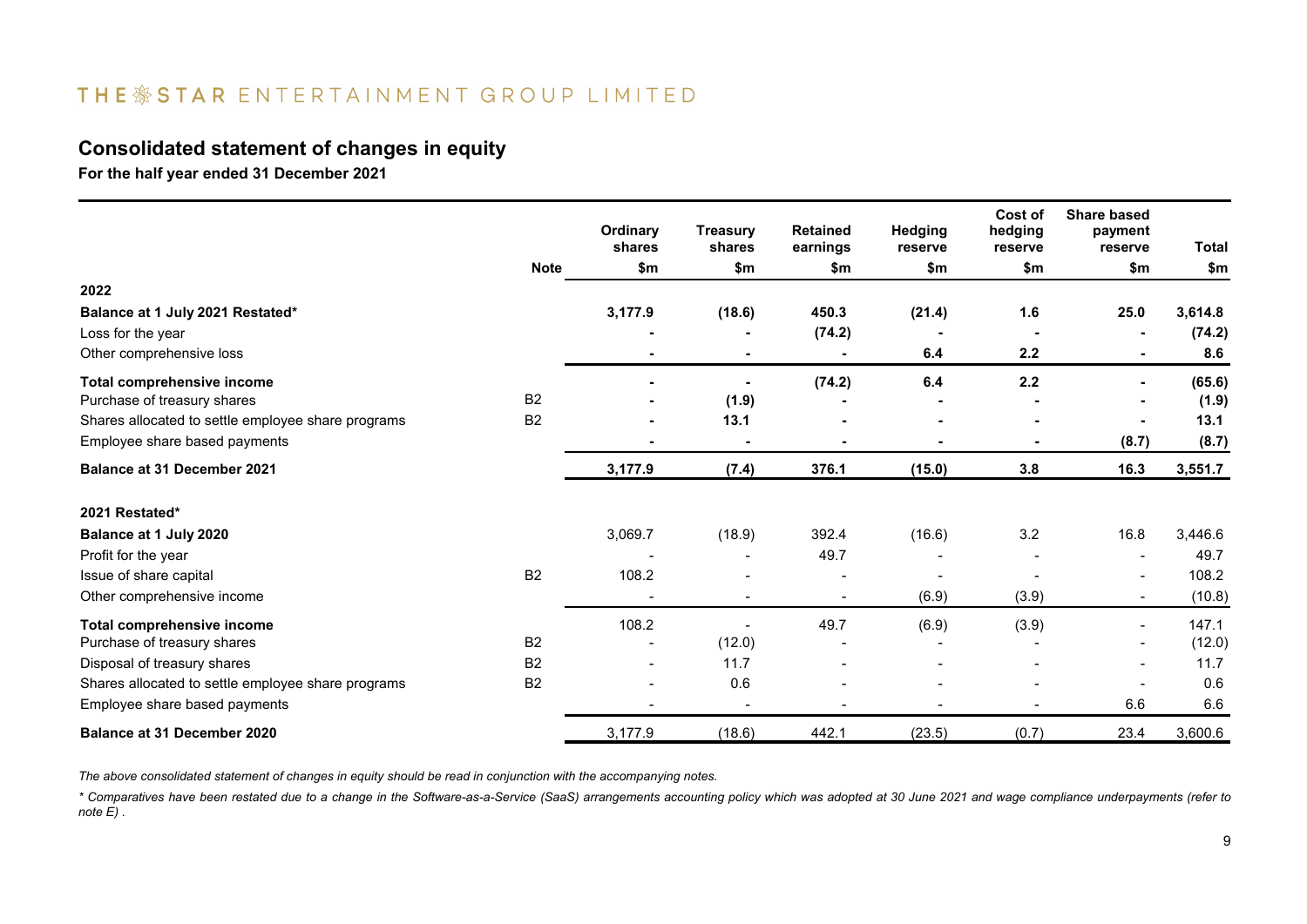## THE \*STAR ENTERTAINMENT GROUP LIMITED

### **Consolidated statement of changes in equity**

**For the half year ended 31 December 2021**

|                                                    |                | Ordinary<br>shares | <b>Treasury</b><br>shares    | <b>Retained</b><br>earnings | <b>Hedging</b><br>reserve | Cost of<br>hedging<br>reserve | <b>Share based</b><br>payment<br>reserve | Total   |
|----------------------------------------------------|----------------|--------------------|------------------------------|-----------------------------|---------------------------|-------------------------------|------------------------------------------|---------|
|                                                    | <b>Note</b>    | \$m                | \$m                          | \$m                         | \$m                       | \$m                           | \$m                                      | \$m     |
| 2022                                               |                |                    |                              |                             |                           |                               |                                          |         |
| Balance at 1 July 2021 Restated*                   |                | 3,177.9            | (18.6)                       | 450.3                       | (21.4)                    | 1.6                           | 25.0                                     | 3,614.8 |
| Loss for the year                                  |                |                    |                              | (74.2)                      | $\overline{\phantom{a}}$  | $\overline{\phantom{0}}$      |                                          | (74.2)  |
| Other comprehensive loss                           |                |                    | ٠                            |                             | 6.4                       | 2.2                           |                                          | 8.6     |
| <b>Total comprehensive income</b>                  |                |                    |                              | (74.2)                      | 6.4                       | 2.2                           |                                          | (65.6)  |
| Purchase of treasury shares                        | <b>B2</b>      |                    | (1.9)                        |                             |                           |                               |                                          | (1.9)   |
| Shares allocated to settle employee share programs | <b>B2</b>      | ٠                  | 13.1                         |                             | ۰                         |                               |                                          | 13.1    |
| Employee share based payments                      |                |                    | $\blacksquare$               |                             |                           |                               | (8.7)                                    | (8.7)   |
| <b>Balance at 31 December 2021</b>                 |                | 3,177.9            | (7.4)                        | 376.1                       | (15.0)                    | 3.8                           | 16.3                                     | 3,551.7 |
| 2021 Restated*                                     |                |                    |                              |                             |                           |                               |                                          |         |
| Balance at 1 July 2020                             |                | 3,069.7            | (18.9)                       | 392.4                       | (16.6)                    | 3.2                           | 16.8                                     | 3,446.6 |
| Profit for the year                                |                |                    |                              | 49.7                        |                           |                               |                                          | 49.7    |
| Issue of share capital                             | <b>B2</b>      | 108.2              |                              |                             |                           |                               |                                          | 108.2   |
| Other comprehensive income                         |                |                    | $\qquad \qquad \blacksquare$ | $\overline{\phantom{0}}$    | (6.9)                     | (3.9)                         | $\blacksquare$                           | (10.8)  |
| <b>Total comprehensive income</b>                  |                | 108.2              | $\overline{\phantom{0}}$     | 49.7                        | (6.9)                     | (3.9)                         | $\overline{\phantom{0}}$                 | 147.1   |
| Purchase of treasury shares                        | <b>B2</b>      |                    | (12.0)                       |                             |                           |                               |                                          | (12.0)  |
| Disposal of treasury shares                        | B <sub>2</sub> | $\blacksquare$     | 11.7                         |                             |                           |                               |                                          | 11.7    |
| Shares allocated to settle employee share programs | <b>B2</b>      | $\blacksquare$     | 0.6                          |                             |                           |                               | $\blacksquare$                           | 0.6     |
| Employee share based payments                      |                |                    |                              |                             |                           |                               | 6.6                                      | 6.6     |
| <b>Balance at 31 December 2020</b>                 |                | 3,177.9            | (18.6)                       | 442.1                       | (23.5)                    | (0.7)                         | 23.4                                     | 3,600.6 |

*The above consolidated statement of changes in equity should be read in conjunction with the accompanying notes.*

*\* Comparatives have been restated due to a change in the Software-as-a-Service (SaaS) arrangements accounting policy which was adopted at 30 June 2021 and wage compliance underpayments (refer to note E) .*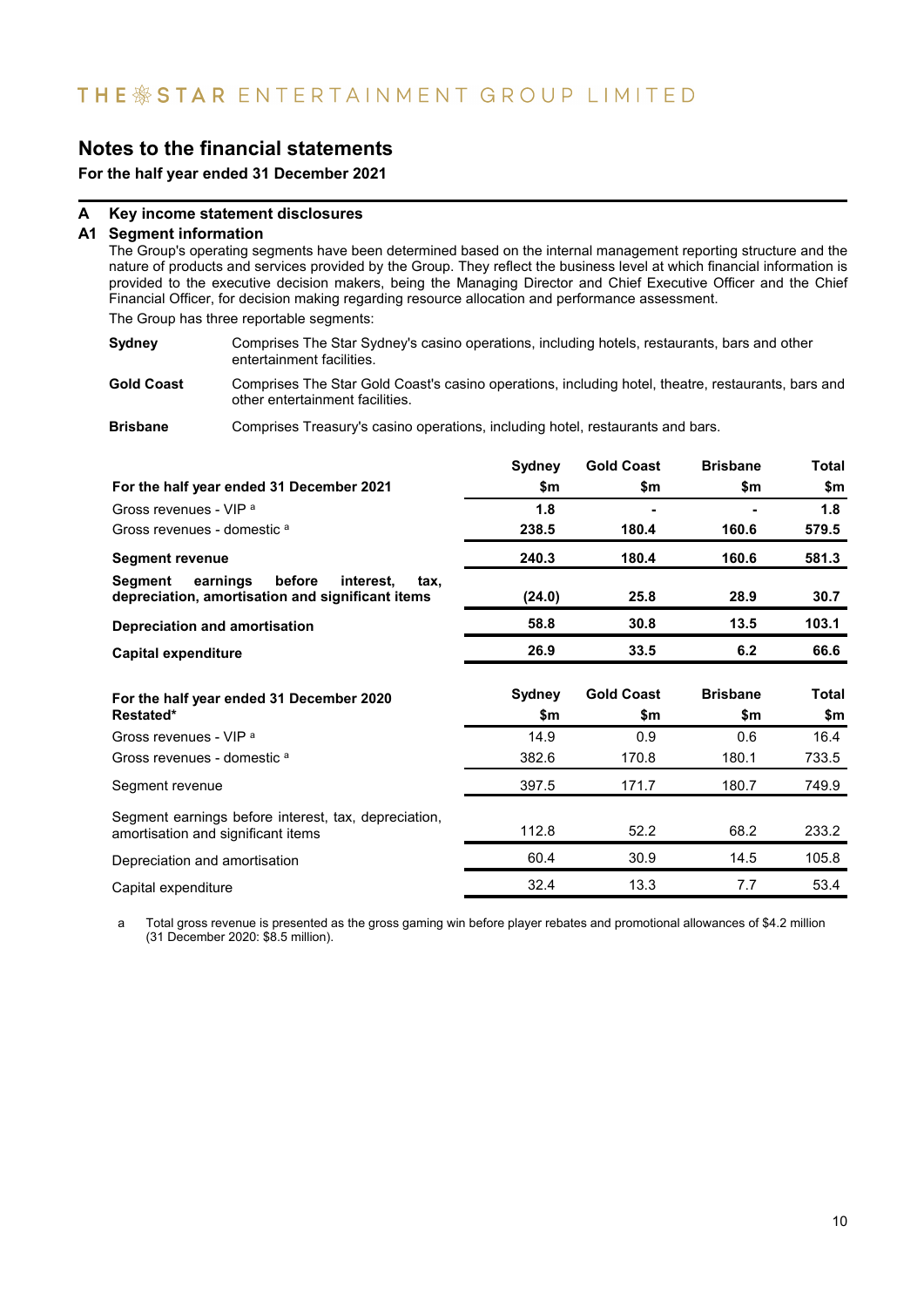**For the half year ended 31 December 2021**

### **A Key income statement disclosures**

### **A1 Segment information**

The Group's operating segments have been determined based on the internal management reporting structure and the nature of products and services provided by the Group. They reflect the business level at which financial information is provided to the executive decision makers, being the Managing Director and Chief Executive Officer and the Chief Financial Officer, for decision making regarding resource allocation and performance assessment.

The Group has three reportable segments:

**Sydney** Comprises The Star Sydney's casino operations, including hotels, restaurants, bars and other entertainment facilities.

**Gold Coast** Comprises The Star Gold Coast's casino operations, including hotel, theatre, restaurants, bars and other entertainment facilities.

**Brisbane** Comprises Treasury's casino operations, including hotel, restaurants and bars.

|                                                                                                        | Sydney        | <b>Gold Coast</b>        | <b>Brisbane</b>        | <b>Total</b>        |
|--------------------------------------------------------------------------------------------------------|---------------|--------------------------|------------------------|---------------------|
| For the half year ended 31 December 2021                                                               | \$m           | \$m                      | \$m                    | \$m                 |
| Gross revenues - VIP <sup>a</sup>                                                                      | 1.8           |                          |                        | 1.8                 |
| Gross revenues - domestic a                                                                            | 238.5         | 180.4                    | 160.6                  | 579.5               |
| <b>Segment revenue</b>                                                                                 | 240.3         | 180.4                    | 160.6                  | 581.3               |
| earnings<br>before<br>Segment<br>interest.<br>tax.<br>depreciation, amortisation and significant items | (24.0)        | 25.8                     | 28.9                   | 30.7                |
| <b>Depreciation and amortisation</b>                                                                   | 58.8          | 30.8                     | 13.5                   | 103.1               |
| <b>Capital expenditure</b>                                                                             | 26.9          | 33.5                     | 6.2                    | 66.6                |
|                                                                                                        |               |                          |                        |                     |
| For the half year ended 31 December 2020<br>Restated*                                                  | Sydney<br>\$m | <b>Gold Coast</b><br>\$m | <b>Brisbane</b><br>\$m | <b>Total</b><br>\$m |
| Gross revenues - VIP <sup>a</sup>                                                                      | 14.9          | 0.9                      | 0.6                    | 16.4                |
| Gross revenues - domestic a                                                                            | 382.6         | 170.8                    | 180.1                  | 733.5               |
| Segment revenue                                                                                        | 397.5         | 171.7                    | 180.7                  | 749.9               |
| Segment earnings before interest, tax, depreciation,<br>amortisation and significant items             | 112.8         | 52.2                     | 68.2                   | 233.2               |
| Depreciation and amortisation                                                                          | 60.4          | 30.9                     | 14.5                   | 105.8               |

a Total gross revenue is presented as the gross gaming win before player rebates and promotional allowances of \$4.2 million (31 December 2020: \$8.5 million).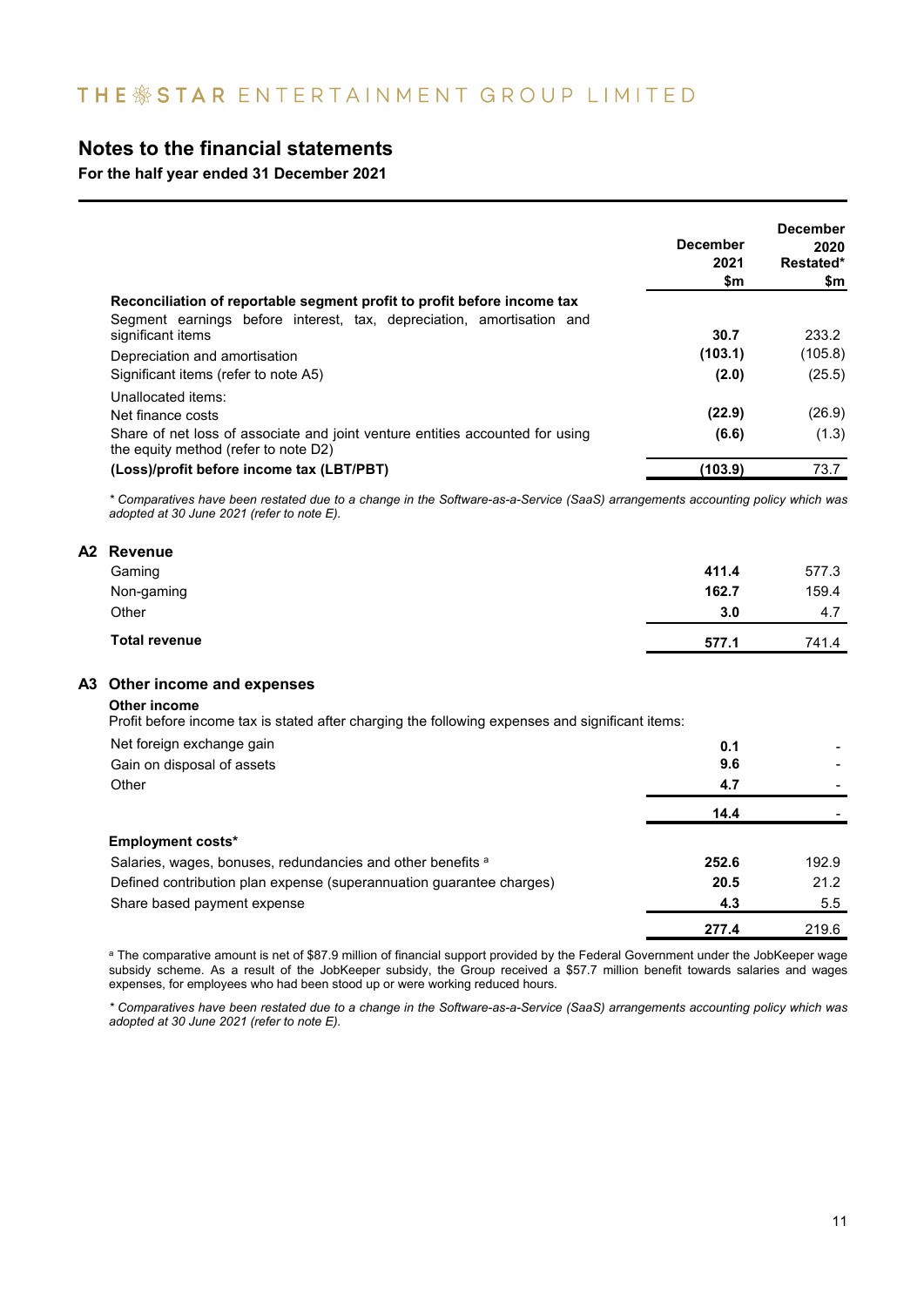**For the half year ended 31 December 2021**

|                                                                                                                       | <b>December</b><br>2021<br>\$m | <b>December</b><br>2020<br>Restated*<br>\$m |
|-----------------------------------------------------------------------------------------------------------------------|--------------------------------|---------------------------------------------|
| Reconciliation of reportable segment profit to profit before income tax                                               |                                |                                             |
| Segment earnings before interest, tax, depreciation, amortisation and<br>significant items                            | 30.7                           | 233.2                                       |
| Depreciation and amortisation                                                                                         | (103.1)                        | (105.8)                                     |
| Significant items (refer to note A5)                                                                                  | (2.0)                          | (25.5)                                      |
| Unallocated items:<br>Net finance costs                                                                               | (22.9)                         | (26.9)                                      |
| Share of net loss of associate and joint venture entities accounted for using<br>the equity method (refer to note D2) | (6.6)                          | (1.3)                                       |
| (Loss)/profit before income tax (LBT/PBT)                                                                             | (103.9)                        | 73.7                                        |

*\* Comparatives have been restated due to a change in the Software-as-a-Service (SaaS) arrangements accounting policy which was adopted at 30 June 2021 (refer to note E).* 

### **A2 Revenue**

| Total revenue | 577.1 | 741.4 |
|---------------|-------|-------|
| Other         | 3.0   | 4.7   |
| Non-gaming    | 162.7 | 159.4 |
| Gaming        | 411.4 | 577.3 |
|               |       |       |

### **A3 Other income and expenses**

**Other income**

Profit before income tax is stated after charging the following expenses and significant items:

| Net foreign exchange gain                                            | 0.1   |       |
|----------------------------------------------------------------------|-------|-------|
| Gain on disposal of assets                                           | 9.6   |       |
| Other                                                                | 4.7   |       |
|                                                                      | 14.4  |       |
| <b>Employment costs*</b>                                             |       |       |
| Salaries, wages, bonuses, redundancies and other benefits a          | 252.6 | 192.9 |
| Defined contribution plan expense (superannuation guarantee charges) | 20.5  | 21.2  |
| Share based payment expense                                          | 4.3   | 5.5   |
|                                                                      | 277.4 | 219.6 |

<sup>a</sup> The comparative amount is net of \$87.9 million of financial support provided by the Federal Government under the JobKeeper wage subsidy scheme. As a result of the JobKeeper subsidy, the Group received a \$57.7 million benefit towards salaries and wages expenses, for employees who had been stood up or were working reduced hours.

*\* Comparatives have been restated due to a change in the Software-as-a-Service (SaaS) arrangements accounting policy which was adopted at 30 June 2021 (refer to note E).*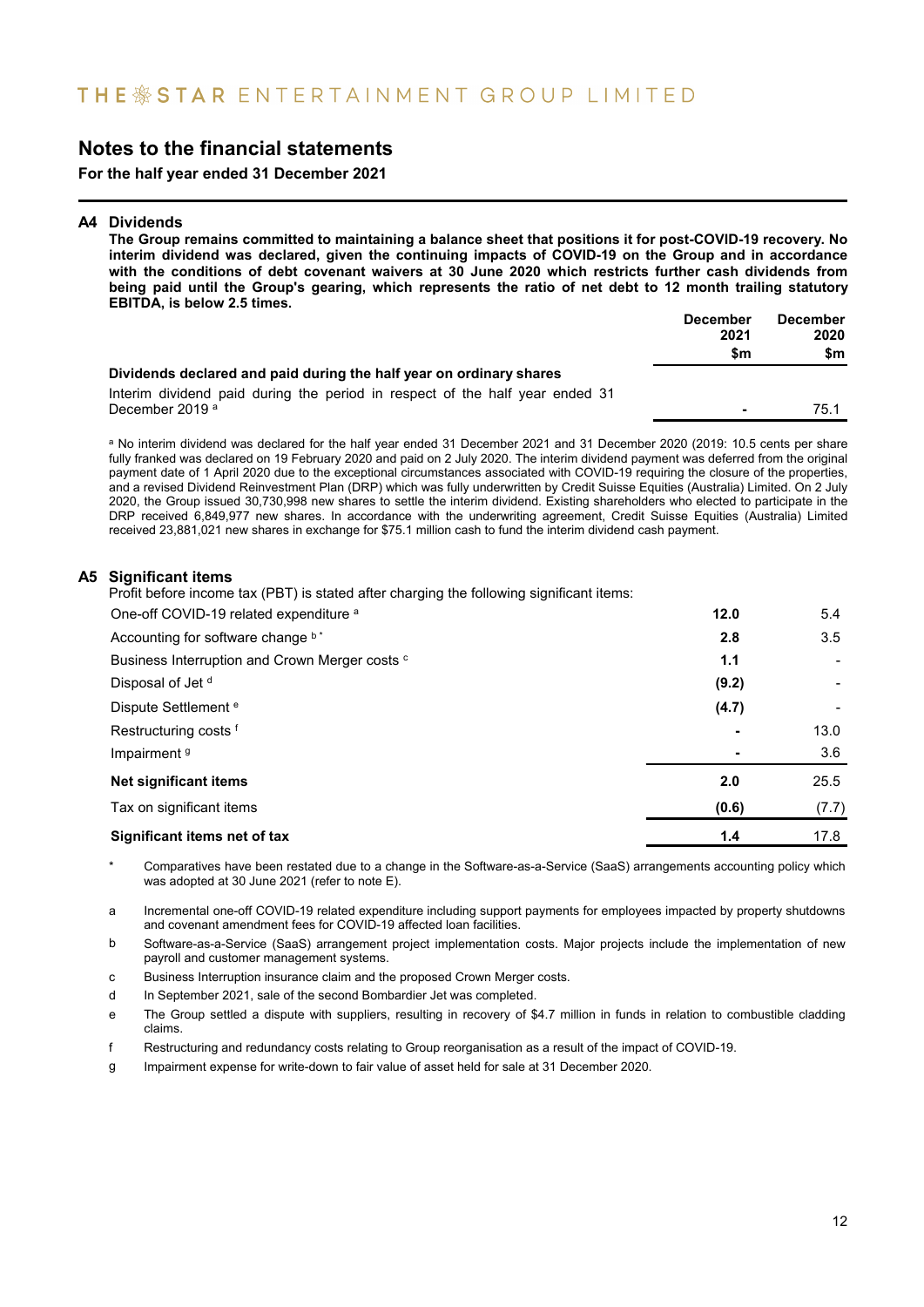**For the half year ended 31 December 2021**

### **A4 Dividends**

**The Group remains committed to maintaining a balance sheet that positions it for post-COVID-19 recovery. No interim dividend was declared, given the continuing impacts of COVID-19 on the Group and in accordance with the conditions of debt covenant waivers at 30 June 2020 which restricts further cash dividends from being paid until the Group's gearing, which represents the ratio of net debt to 12 month trailing statutory EBITDA, is below 2.5 times. December December**

|                                                                              | December       | DGCGIIDGI |
|------------------------------------------------------------------------------|----------------|-----------|
|                                                                              | 2021           | 2020      |
|                                                                              | \$m            | \$m       |
| Dividends declared and paid during the half year on ordinary shares          |                |           |
| Interim dividend paid during the period in respect of the half year ended 31 |                |           |
| December 2019 <sup>a</sup>                                                   | $\blacksquare$ | 75.1      |
|                                                                              |                |           |

a No interim dividend was declared for the half year ended 31 December 2021 and 31 December 2020 (2019: 10.5 cents per share fully franked was declared on 19 February 2020 and paid on 2 July 2020. The interim dividend payment was deferred from the original payment date of 1 April 2020 due to the exceptional circumstances associated with COVID-19 requiring the closure of the properties, and a revised Dividend Reinvestment Plan (DRP) which was fully underwritten by Credit Suisse Equities (Australia) Limited. On 2 July 2020, the Group issued 30,730,998 new shares to settle the interim dividend. Existing shareholders who elected to participate in the DRP received 6,849,977 new shares. In accordance with the underwriting agreement, Credit Suisse Equities (Australia) Limited received 23,881,021 new shares in exchange for \$75.1 million cash to fund the interim dividend cash payment.

### **A5 Significant items**

Profit before income tax (PBT) is stated after charging the following significant items:

| One-off COVID-19 related expenditure a         | 12.0  | 5.4   |
|------------------------------------------------|-------|-------|
| Accounting for software change b <sup>*</sup>  | 2.8   | 3.5   |
| Business Interruption and Crown Merger costs c | 1.1   |       |
| Disposal of Jet <sup>d</sup>                   | (9.2) |       |
| Dispute Settlement <sup>e</sup>                | (4.7) |       |
| Restructuring costs f                          |       | 13.0  |
| Impairment <sup>9</sup>                        |       | 3.6   |
| Net significant items                          | 2.0   | 25.5  |
| Tax on significant items                       | (0.6) | (7.7) |
| Significant items net of tax                   | 1.4   | 17.8  |

Comparatives have been restated due to a change in the Software-as-a-Service (SaaS) arrangements accounting policy which was adopted at 30 June 2021 (refer to note E).

a Incremental one-off COVID-19 related expenditure including support payments for employees impacted by property shutdowns and covenant amendment fees for COVID-19 affected loan facilities.

- b Software-as-a-Service (SaaS) arrangement project implementation costs. Major projects include the implementation of new payroll and customer management systems.
- c Business Interruption insurance claim and the proposed Crown Merger costs.
- d In September 2021, sale of the second Bombardier Jet was completed.
- e The Group settled a dispute with suppliers, resulting in recovery of \$4.7 million in funds in relation to combustible cladding claims.
- f Restructuring and redundancy costs relating to Group reorganisation as a result of the impact of COVID-19.
- g Impairment expense for write-down to fair value of asset held for sale at 31 December 2020.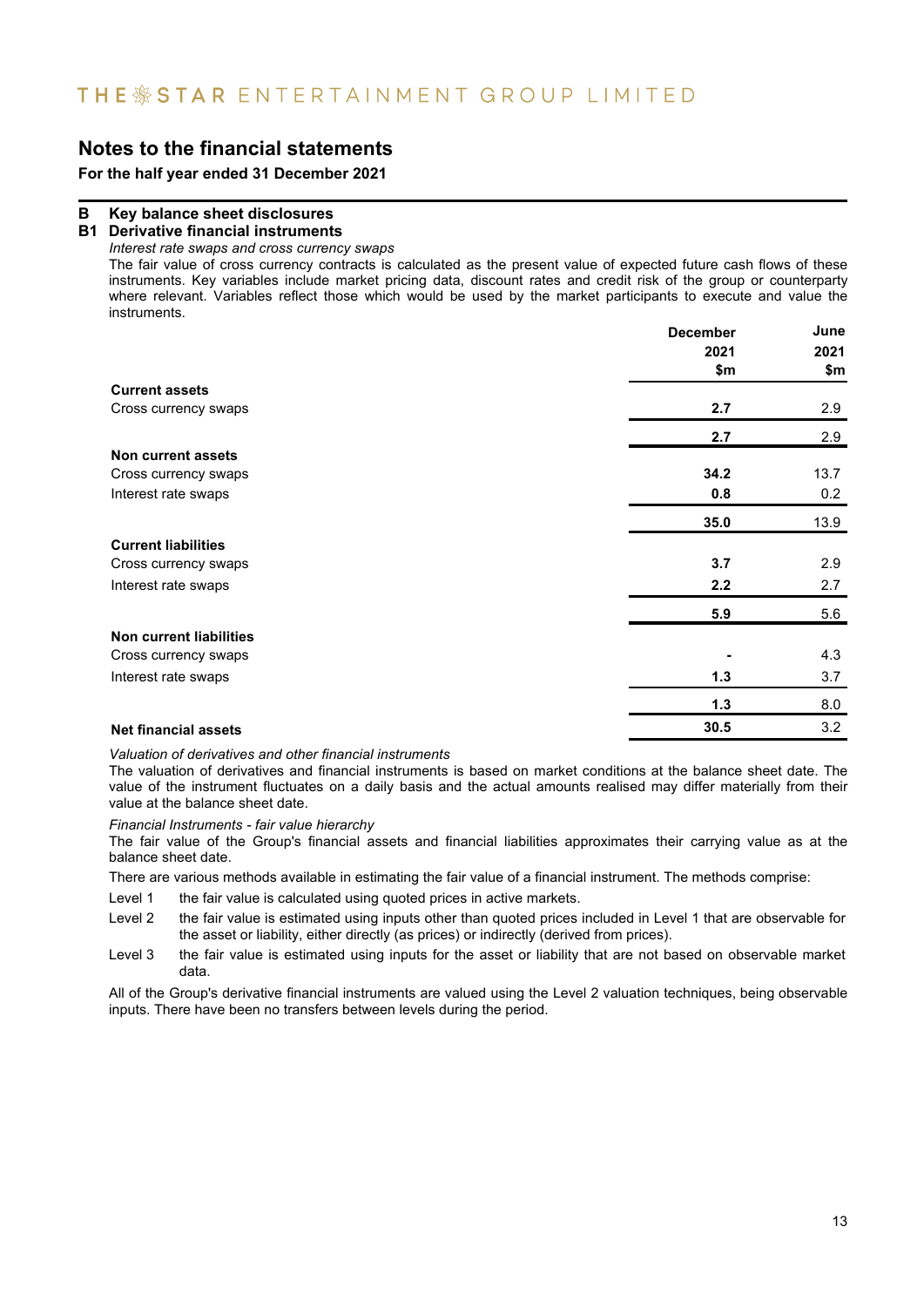**For the half year ended 31 December 2021**

### **B Key balance sheet disclosures**

### **B1 Derivative financial instruments**

*Interest rate swaps and cross currency swaps*

The fair value of cross currency contracts is calculated as the present value of expected future cash flows of these instruments. Key variables include market pricing data, discount rates and credit risk of the group or counterparty where relevant. Variables reflect those which would be used by the market participants to execute and value the instruments.

|                                | <b>December</b> | June |
|--------------------------------|-----------------|------|
|                                | 2021            | 2021 |
|                                | \$m             | \$m  |
| <b>Current assets</b>          |                 |      |
| Cross currency swaps           | 2.7             | 2.9  |
|                                | 2.7             | 2.9  |
| Non current assets             |                 |      |
| Cross currency swaps           | 34.2            | 13.7 |
| Interest rate swaps            | 0.8             | 0.2  |
|                                | 35.0            | 13.9 |
| <b>Current liabilities</b>     |                 |      |
| Cross currency swaps           | 3.7             | 2.9  |
| Interest rate swaps            | 2.2             | 2.7  |
|                                | 5.9             | 5.6  |
| <b>Non current liabilities</b> |                 |      |
| Cross currency swaps           |                 | 4.3  |
| Interest rate swaps            | $1.3$           | 3.7  |
|                                | $1.3$           | 8.0  |
| <b>Net financial assets</b>    | 30.5            | 3.2  |

*Valuation of derivatives and other financial instruments*

The valuation of derivatives and financial instruments is based on market conditions at the balance sheet date. The value of the instrument fluctuates on a daily basis and the actual amounts realised may differ materially from their value at the balance sheet date.

*Financial Instruments - fair value hierarchy*

The fair value of the Group's financial assets and financial liabilities approximates their carrying value as at the balance sheet date.

There are various methods available in estimating the fair value of a financial instrument. The methods comprise:

Level 1 the fair value is calculated using quoted prices in active markets.

- Level 2 the fair value is estimated using inputs other than quoted prices included in Level 1 that are observable for the asset or liability, either directly (as prices) or indirectly (derived from prices).
- Level 3 the fair value is estimated using inputs for the asset or liability that are not based on observable market data.

All of the Group's derivative financial instruments are valued using the Level 2 valuation techniques, being observable inputs. There have been no transfers between levels during the period.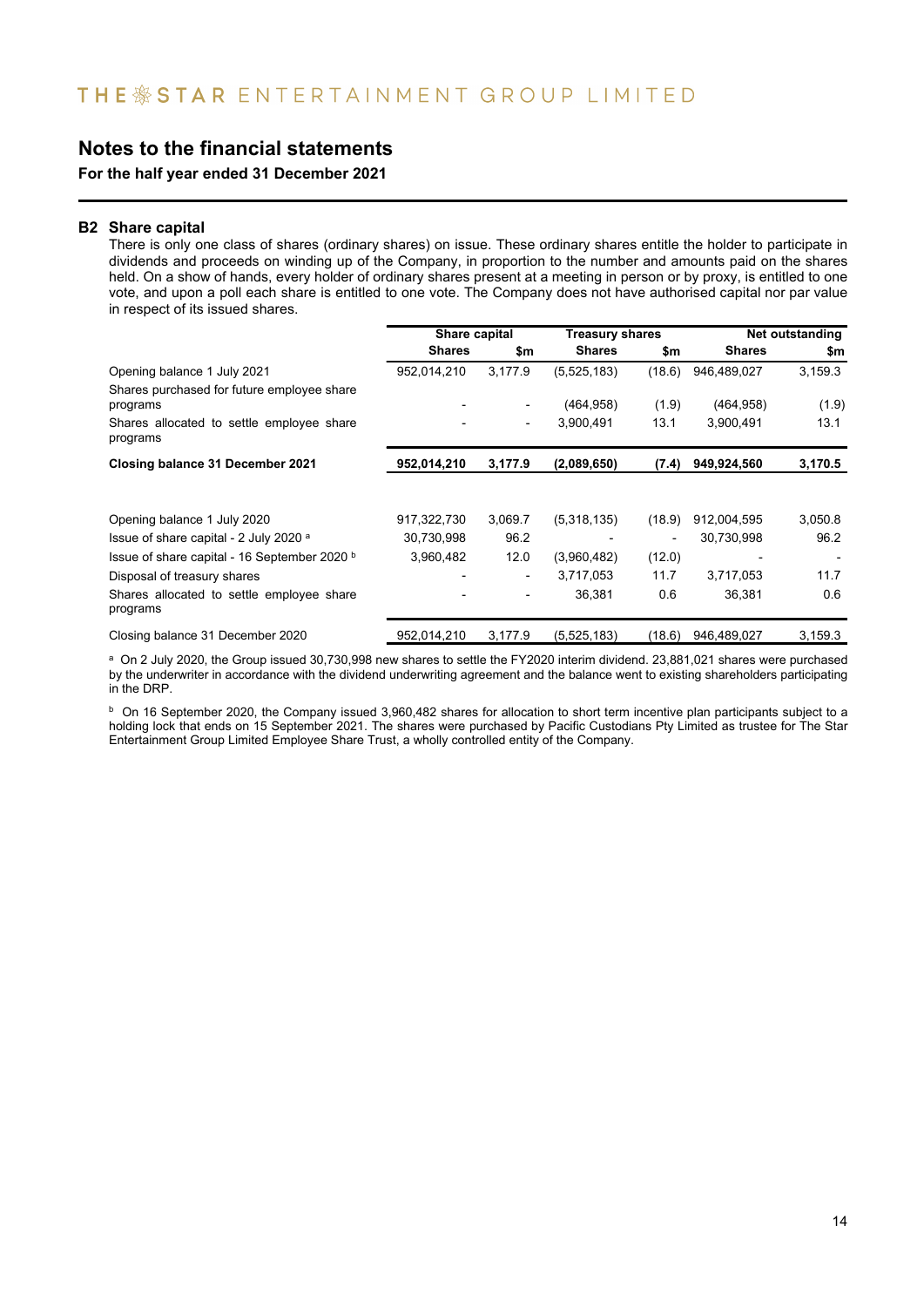**For the half year ended 31 December 2021**

### **B2 Share capital**

There is only one class of shares (ordinary shares) on issue. These ordinary shares entitle the holder to participate in dividends and proceeds on winding up of the Company, in proportion to the number and amounts paid on the shares held. On a show of hands, every holder of ordinary shares present at a meeting in person or by proxy, is entitled to one vote, and upon a poll each share is entitled to one vote. The Company does not have authorised capital nor par value in respect of its issued shares.

|                                                        | Share capital |                          | <b>Treasury shares</b> |        | Net outstanding |         |
|--------------------------------------------------------|---------------|--------------------------|------------------------|--------|-----------------|---------|
|                                                        | <b>Shares</b> | \$m                      | <b>Shares</b>          | \$m    | <b>Shares</b>   | \$m     |
| Opening balance 1 July 2021                            | 952,014,210   | 3,177.9                  | (5,525,183)            | (18.6) | 946,489,027     | 3,159.3 |
| Shares purchased for future employee share<br>programs |               | $\overline{\phantom{a}}$ | (464,958)              | (1.9)  | (464, 958)      | (1.9)   |
| Shares allocated to settle employee share<br>programs  |               | $\overline{\phantom{a}}$ | 3,900,491              | 13.1   | 3,900,491       | 13.1    |
| Closing balance 31 December 2021                       | 952,014,210   | 3,177.9                  | (2,089,650)            | (7.4)  | 949,924,560     | 3,170.5 |
| Opening balance 1 July 2020                            | 917,322,730   | 3,069.7                  | (5,318,135)            | (18.9) | 912,004,595     | 3,050.8 |
| Issue of share capital - 2 July 2020 a                 | 30,730,998    | 96.2                     |                        |        | 30,730,998      | 96.2    |
| Issue of share capital - 16 September 2020 b           | 3,960,482     | 12.0                     | (3,960,482)            | (12.0) |                 |         |
| Disposal of treasury shares                            |               | $\overline{\phantom{a}}$ | 3,717,053              | 11.7   | 3,717,053       | 11.7    |
| Shares allocated to settle employee share<br>programs  |               | -                        | 36.381                 | 0.6    | 36,381          | 0.6     |
| Closing balance 31 December 2020                       | 952,014,210   | 3,177.9                  | (5,525,183)            | (18.6) | 946,489,027     | 3,159.3 |

a On 2 July 2020, the Group issued 30,730,998 new shares to settle the FY2020 interim dividend. 23,881,021 shares were purchased by the underwriter in accordance with the dividend underwriting agreement and the balance went to existing shareholders participating in the DRP.

 $^{\rm b}$  On 16 September 2020, the Company issued 3,960,482 shares for allocation to short term incentive plan participants subject to a holding lock that ends on 15 September 2021. The shares were purchased by Pacific Custodians Pty Limited as trustee for The Star Entertainment Group Limited Employee Share Trust, a wholly controlled entity of the Company.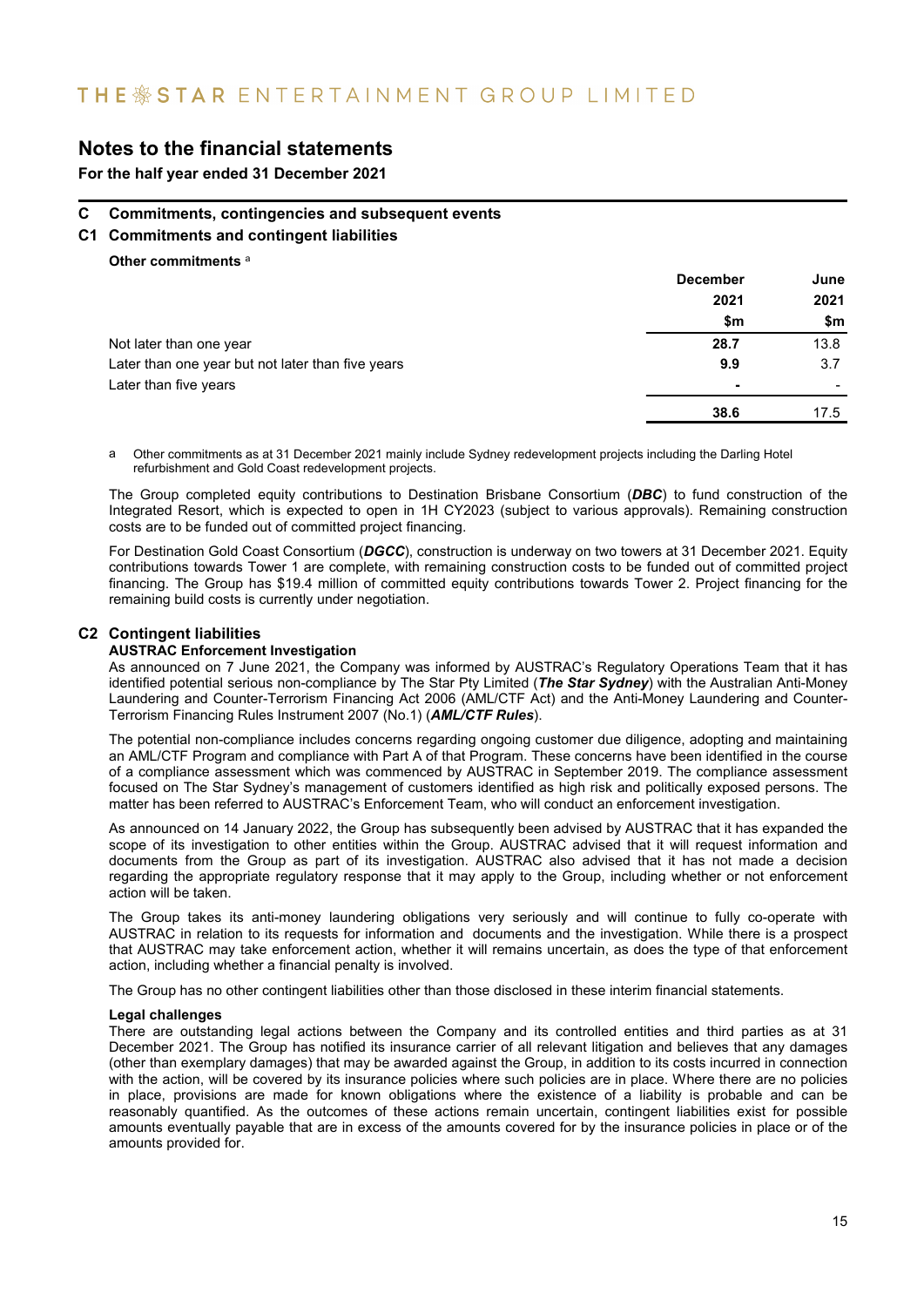## THE \* STAR ENTERTAINMENT GROUP LIMITED

### **Notes to the financial statements**

**For the half year ended 31 December 2021**

### **C Commitments, contingencies and subsequent events**

**C1 Commitments and contingent liabilities**

**Other commitments** <sup>a</sup>

|                                                   | <b>December</b> | June |
|---------------------------------------------------|-----------------|------|
|                                                   | 2021            | 2021 |
|                                                   | \$m             | \$m  |
| Not later than one year                           | 28.7            | 13.8 |
| Later than one year but not later than five years | 9.9             | 3.7  |
| Later than five years                             |                 |      |
|                                                   | 38.6            | 17.5 |

a Other commitments as at 31 December 2021 mainly include Sydney redevelopment projects including the Darling Hotel refurbishment and Gold Coast redevelopment projects.

The Group completed equity contributions to Destination Brisbane Consortium (*DBC*) to fund construction of the Integrated Resort, which is expected to open in 1H CY2023 (subject to various approvals). Remaining construction costs are to be funded out of committed project financing.

For Destination Gold Coast Consortium (*DGCC*), construction is underway on two towers at 31 December 2021. Equity contributions towards Tower 1 are complete, with remaining construction costs to be funded out of committed project financing. The Group has \$19.4 million of committed equity contributions towards Tower 2. Project financing for the remaining build costs is currently under negotiation.

### **C2 Contingent liabilities**

#### **AUSTRAC Enforcement Investigation**

As announced on 7 June 2021, the Company was informed by AUSTRAC's Regulatory Operations Team that it has identified potential serious non-compliance by The Star Pty Limited (*The Star Sydney*) with the Australian Anti-Money Laundering and Counter-Terrorism Financing Act 2006 (AML/CTF Act) and the Anti-Money Laundering and Counter-Terrorism Financing Rules Instrument 2007 (No.1) (*AML/CTF Rules*).

The potential non-compliance includes concerns regarding ongoing customer due diligence, adopting and maintaining an AML/CTF Program and compliance with Part A of that Program. These concerns have been identified in the course of a compliance assessment which was commenced by AUSTRAC in September 2019. The compliance assessment focused on The Star Sydney's management of customers identified as high risk and politically exposed persons. The matter has been referred to AUSTRAC's Enforcement Team, who will conduct an enforcement investigation.

As announced on 14 January 2022, the Group has subsequently been advised by AUSTRAC that it has expanded the scope of its investigation to other entities within the Group. AUSTRAC advised that it will request information and documents from the Group as part of its investigation. AUSTRAC also advised that it has not made a decision regarding the appropriate regulatory response that it may apply to the Group, including whether or not enforcement action will be taken.

The Group takes its anti-money laundering obligations very seriously and will continue to fully co-operate with AUSTRAC in relation to its requests for information and documents and the investigation. While there is a prospect that AUSTRAC may take enforcement action, whether it will remains uncertain, as does the type of that enforcement action, including whether a financial penalty is involved.

The Group has no other contingent liabilities other than those disclosed in these interim financial statements.

#### **Legal challenges**

There are outstanding legal actions between the Company and its controlled entities and third parties as at 31 December 2021. The Group has notified its insurance carrier of all relevant litigation and believes that any damages (other than exemplary damages) that may be awarded against the Group, in addition to its costs incurred in connection with the action, will be covered by its insurance policies where such policies are in place. Where there are no policies in place, provisions are made for known obligations where the existence of a liability is probable and can be reasonably quantified. As the outcomes of these actions remain uncertain, contingent liabilities exist for possible amounts eventually payable that are in excess of the amounts covered for by the insurance policies in place or of the amounts provided for.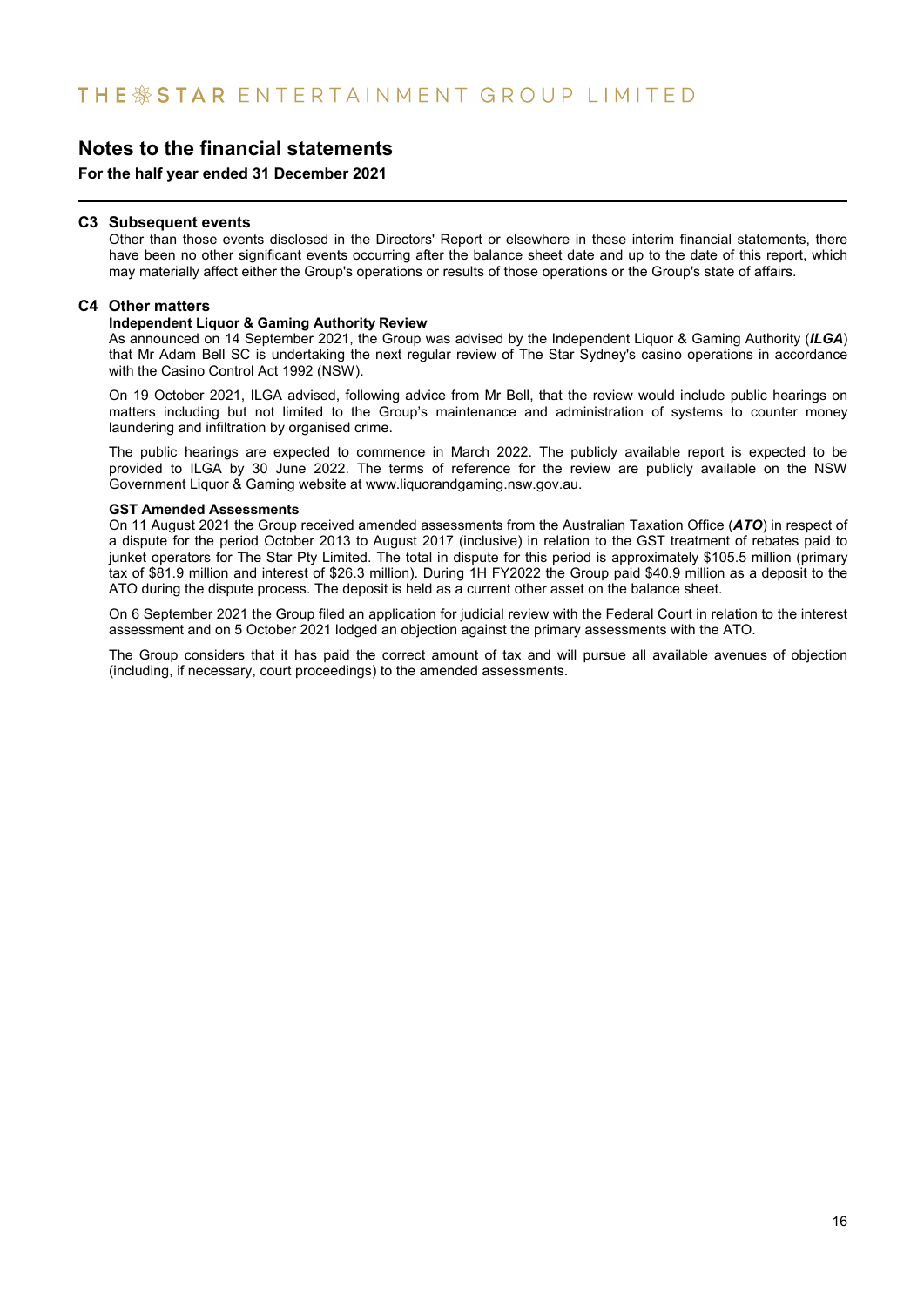**For the half year ended 31 December 2021**

#### **C3 Subsequent events**

Other than those events disclosed in the Directors' Report or elsewhere in these interim financial statements, there have been no other significant events occurring after the balance sheet date and up to the date of this report, which may materially affect either the Group's operations or results of those operations or the Group's state of affairs.

### **C4 Other matters**

### **Independent Liquor & Gaming Authority Review**

As announced on 14 September 2021, the Group was advised by the Independent Liquor & Gaming Authority (*ILGA*) that Mr Adam Bell SC is undertaking the next regular review of The Star Sydney's casino operations in accordance with the Casino Control Act 1992 (NSW).

On 19 October 2021, ILGA advised, following advice from Mr Bell, that the review would include public hearings on matters including but not limited to the Group's maintenance and administration of systems to counter money laundering and infiltration by organised crime.

The public hearings are expected to commence in March 2022. The publicly available report is expected to be provided to ILGA by 30 June 2022. The terms of reference for the review are publicly available on the NSW Government Liquor & Gaming website at www.liquorandgaming.nsw.gov.au.

#### **GST Amended Assessments**

On 11 August 2021 the Group received amended assessments from the Australian Taxation Office (*ATO*) in respect of a dispute for the period October 2013 to August 2017 (inclusive) in relation to the GST treatment of rebates paid to junket operators for The Star Pty Limited. The total in dispute for this period is approximately \$105.5 million (primary tax of \$81.9 million and interest of \$26.3 million). During 1H FY2022 the Group paid \$40.9 million as a deposit to the ATO during the dispute process. The deposit is held as a current other asset on the balance sheet.

On 6 September 2021 the Group filed an application for judicial review with the Federal Court in relation to the interest assessment and on 5 October 2021 lodged an objection against the primary assessments with the ATO.

The Group considers that it has paid the correct amount of tax and will pursue all available avenues of objection (including, if necessary, court proceedings) to the amended assessments.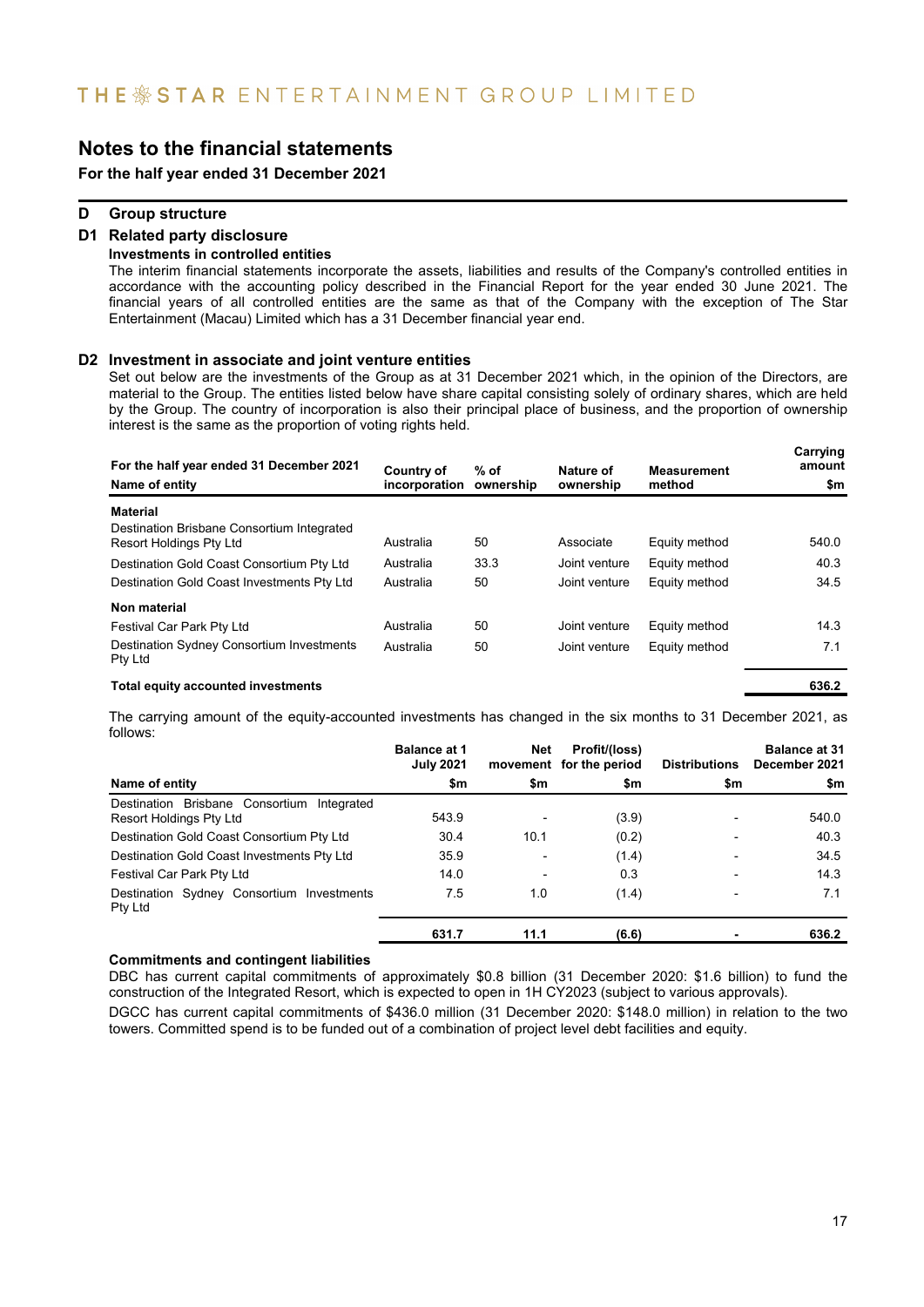**For the half year ended 31 December 2021**

### **D Group structure**

#### **D1 Related party disclosure Investments in controlled entities**

The interim financial statements incorporate the assets, liabilities and results of the Company's controlled entities in accordance with the accounting policy described in the Financial Report for the year ended 30 June 2021. The financial years of all controlled entities are the same as that of the Company with the exception of The Star Entertainment (Macau) Limited which has a 31 December financial year end.

#### **D2 Investment in associate and joint venture entities**

Set out below are the investments of the Group as at 31 December 2021 which, in the opinion of the Directors, are material to the Group. The entities listed below have share capital consisting solely of ordinary shares, which are held by the Group. The country of incorporation is also their principal place of business, and the proportion of ownership interest is the same as the proportion of voting rights held.

| For the half year ended 31 December 2021<br>Name of entity            | Country of<br>incorporation | $%$ of<br>ownership | Nature of<br>ownership | <b>Measurement</b><br>method | Carrying<br>amount<br>\$m |
|-----------------------------------------------------------------------|-----------------------------|---------------------|------------------------|------------------------------|---------------------------|
| <b>Material</b>                                                       |                             |                     |                        |                              |                           |
| Destination Brisbane Consortium Integrated<br>Resort Holdings Pty Ltd | Australia                   | 50                  | Associate              | Equity method                | 540.0                     |
| Destination Gold Coast Consortium Pty Ltd                             | Australia                   | 33.3                | Joint venture          | Equity method                | 40.3                      |
| Destination Gold Coast Investments Pty Ltd                            | Australia                   | 50                  | Joint venture          | Equity method                | 34.5                      |
| Non material                                                          |                             |                     |                        |                              |                           |
| Festival Car Park Pty Ltd                                             | Australia                   | 50                  | Joint venture          | Equity method                | 14.3                      |
| Destination Sydney Consortium Investments<br>Pty Ltd                  | Australia                   | 50                  | Joint venture          | Equity method                | 7.1                       |
| Total equity accounted investments                                    |                             |                     |                        |                              | 636.2                     |

The carrying amount of the equity-accounted investments has changed in the six months to 31 December 2021, as follows:

|                                                                          | <b>Balance at 1</b><br><b>July 2021</b> | Net                      | Profit/(loss)<br>movement for the period | <b>Distributions</b>     | <b>Balance at 31</b><br>December 2021 |
|--------------------------------------------------------------------------|-----------------------------------------|--------------------------|------------------------------------------|--------------------------|---------------------------------------|
| Name of entity                                                           | \$m                                     | \$m                      | \$m                                      | \$m                      | \$m                                   |
| Brisbane Consortium Integrated<br>Destination<br>Resort Holdings Pty Ltd | 543.9                                   | ۰                        | (3.9)                                    | -                        | 540.0                                 |
| Destination Gold Coast Consortium Pty Ltd                                | 30.4                                    | 10.1                     | (0.2)                                    | $\overline{\phantom{0}}$ | 40.3                                  |
| Destination Gold Coast Investments Pty Ltd                               | 35.9                                    | $\overline{\phantom{0}}$ | (1.4)                                    | $\overline{\phantom{0}}$ | 34.5                                  |
| Festival Car Park Pty Ltd                                                | 14.0                                    | $\overline{\phantom{0}}$ | 0.3                                      | $\overline{\phantom{0}}$ | 14.3                                  |
| Destination Sydney Consortium Investments<br>Pty Ltd                     | 7.5                                     | 1.0                      | (1.4)                                    | $\overline{\phantom{0}}$ | 7.1                                   |
|                                                                          | 631.7                                   | 11.1                     | (6.6)                                    |                          | 636.2                                 |

#### **Commitments and contingent liabilities**

DBC has current capital commitments of approximately \$0.8 billion (31 December 2020: \$1.6 billion) to fund the construction of the Integrated Resort, which is expected to open in 1H CY2023 (subject to various approvals).

DGCC has current capital commitments of \$436.0 million (31 December 2020: \$148.0 million) in relation to the two towers. Committed spend is to be funded out of a combination of project level debt facilities and equity.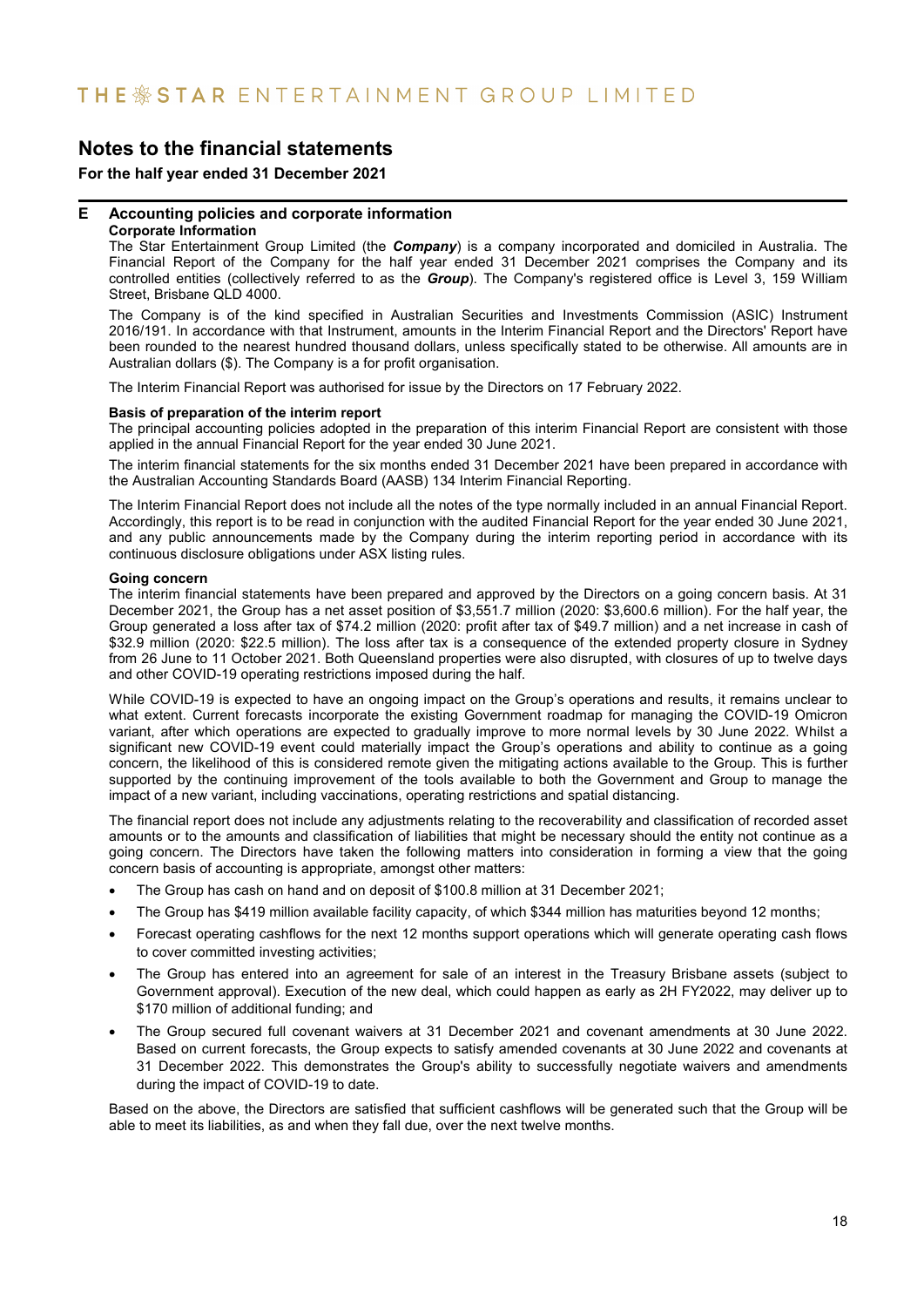### **For the half year ended 31 December 2021**

### **E Accounting policies and corporate information**

### **Corporate Information**

The Star Entertainment Group Limited (the *Company*) is a company incorporated and domiciled in Australia. The Financial Report of the Company for the half year ended 31 December 2021 comprises the Company and its controlled entities (collectively referred to as the *Group*). The Company's registered office is Level 3, 159 William Street, Brisbane QLD 4000.

The Company is of the kind specified in Australian Securities and Investments Commission (ASIC) Instrument 2016/191. In accordance with that Instrument, amounts in the Interim Financial Report and the Directors' Report have been rounded to the nearest hundred thousand dollars, unless specifically stated to be otherwise. All amounts are in Australian dollars (\$). The Company is a for profit organisation.

The Interim Financial Report was authorised for issue by the Directors on 17 February 2022.

#### **Basis of preparation of the interim report**

The principal accounting policies adopted in the preparation of this interim Financial Report are consistent with those applied in the annual Financial Report for the year ended 30 June 2021.

The interim financial statements for the six months ended 31 December 2021 have been prepared in accordance with the Australian Accounting Standards Board (AASB) 134 Interim Financial Reporting.

The Interim Financial Report does not include all the notes of the type normally included in an annual Financial Report. Accordingly, this report is to be read in conjunction with the audited Financial Report for the year ended 30 June 2021, and any public announcements made by the Company during the interim reporting period in accordance with its continuous disclosure obligations under ASX listing rules.

#### **Going concern**

The interim financial statements have been prepared and approved by the Directors on a going concern basis. At 31 December 2021, the Group has a net asset position of \$3,551.7 million (2020: \$3,600.6 million). For the half year, the Group generated a loss after tax of \$74.2 million (2020: profit after tax of \$49.7 million) and a net increase in cash of \$32.9 million (2020: \$22.5 million). The loss after tax is a consequence of the extended property closure in Sydney from 26 June to 11 October 2021. Both Queensland properties were also disrupted, with closures of up to twelve days and other COVID-19 operating restrictions imposed during the half.

While COVID-19 is expected to have an ongoing impact on the Group's operations and results, it remains unclear to what extent. Current forecasts incorporate the existing Government roadmap for managing the COVID-19 Omicron variant, after which operations are expected to gradually improve to more normal levels by 30 June 2022. Whilst a significant new COVID-19 event could materially impact the Group's operations and ability to continue as a going concern, the likelihood of this is considered remote given the mitigating actions available to the Group. This is further supported by the continuing improvement of the tools available to both the Government and Group to manage the impact of a new variant, including vaccinations, operating restrictions and spatial distancing.

The financial report does not include any adjustments relating to the recoverability and classification of recorded asset amounts or to the amounts and classification of liabilities that might be necessary should the entity not continue as a going concern. The Directors have taken the following matters into consideration in forming a view that the going concern basis of accounting is appropriate, amongst other matters:

- The Group has cash on hand and on deposit of \$100.8 million at 31 December 2021;
- The Group has \$419 million available facility capacity, of which \$344 million has maturities beyond 12 months;
- Forecast operating cashflows for the next 12 months support operations which will generate operating cash flows to cover committed investing activities;
- The Group has entered into an agreement for sale of an interest in the Treasury Brisbane assets (subject to Government approval). Execution of the new deal, which could happen as early as 2H FY2022, may deliver up to \$170 million of additional funding; and
- The Group secured full covenant waivers at 31 December 2021 and covenant amendments at 30 June 2022. Based on current forecasts, the Group expects to satisfy amended covenants at 30 June 2022 and covenants at 31 December 2022. This demonstrates the Group's ability to successfully negotiate waivers and amendments during the impact of COVID-19 to date.

Based on the above, the Directors are satisfied that sufficient cashflows will be generated such that the Group will be able to meet its liabilities, as and when they fall due, over the next twelve months.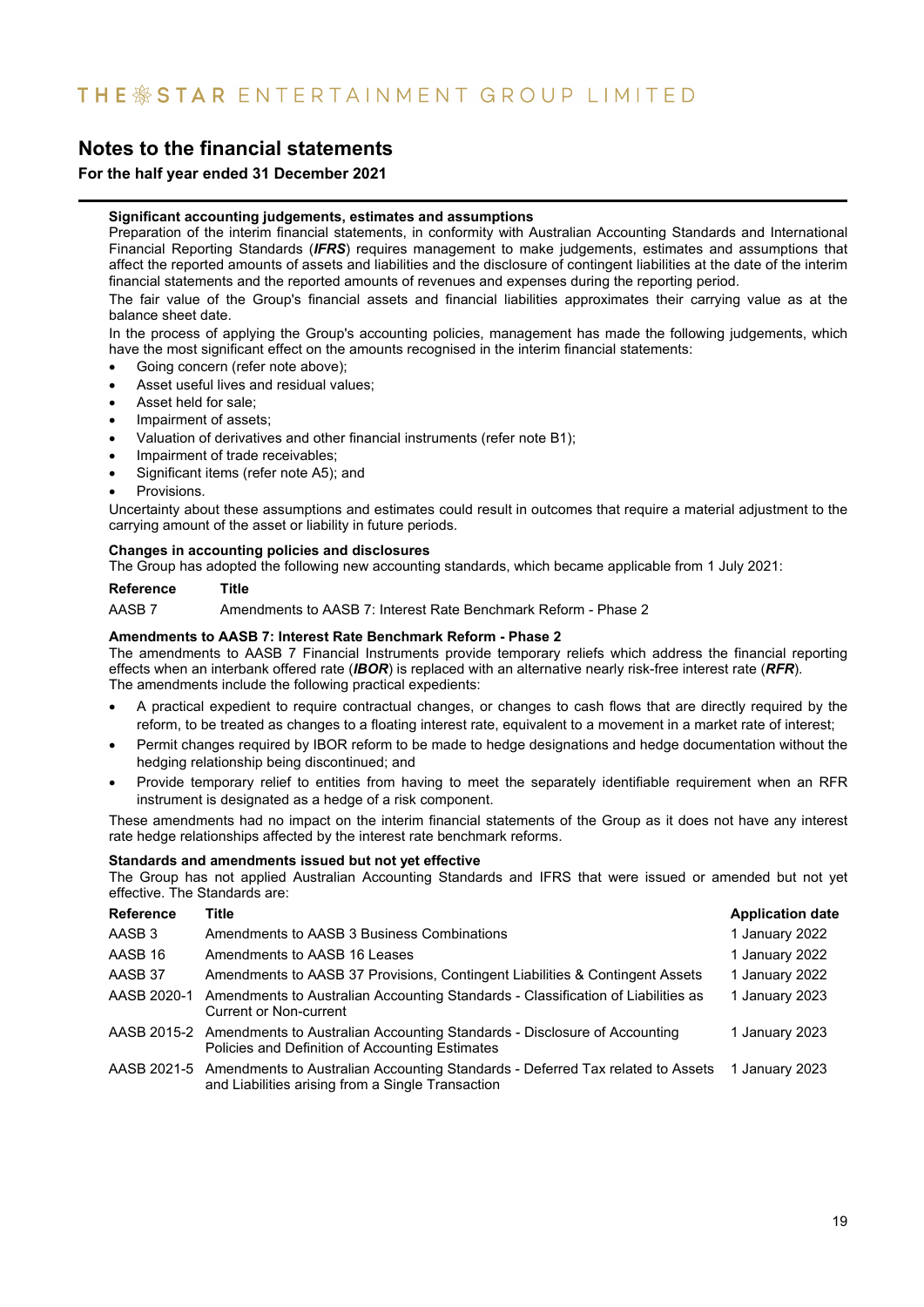### **For the half year ended 31 December 2021**

#### **Significant accounting judgements, estimates and assumptions**

Preparation of the interim financial statements, in conformity with Australian Accounting Standards and International Financial Reporting Standards (*IFRS*) requires management to make judgements, estimates and assumptions that affect the reported amounts of assets and liabilities and the disclosure of contingent liabilities at the date of the interim financial statements and the reported amounts of revenues and expenses during the reporting period.

The fair value of the Group's financial assets and financial liabilities approximates their carrying value as at the balance sheet date.

In the process of applying the Group's accounting policies, management has made the following judgements, which have the most significant effect on the amounts recognised in the interim financial statements:

- Going concern (refer note above);
- Asset useful lives and residual values;
- Asset held for sale;
- Impairment of assets;
- Valuation of derivatives and other financial instruments (refer note B1);
- Impairment of trade receivables;
- Significant items (refer note A5); and
- Provisions.

Uncertainty about these assumptions and estimates could result in outcomes that require a material adjustment to the carrying amount of the asset or liability in future periods.

### **Changes in accounting policies and disclosures**

The Group has adopted the following new accounting standards, which became applicable from 1 July 2021:

**Reference Title**

AASB 7 Amendments to AASB 7: Interest Rate Benchmark Reform - Phase 2

#### **Amendments to AASB 7: Interest Rate Benchmark Reform - Phase 2**

The amendments to AASB 7 Financial Instruments provide temporary reliefs which address the financial reporting effects when an interbank offered rate (*IBOR*) is replaced with an alternative nearly risk-free interest rate (*RFR*). The amendments include the following practical expedients:

- A practical expedient to require contractual changes, or changes to cash flows that are directly required by the reform, to be treated as changes to a floating interest rate, equivalent to a movement in a market rate of interest;
- Permit changes required by IBOR reform to be made to hedge designations and hedge documentation without the hedging relationship being discontinued; and
- Provide temporary relief to entities from having to meet the separately identifiable requirement when an RFR instrument is designated as a hedge of a risk component.

These amendments had no impact on the interim financial statements of the Group as it does not have any interest rate hedge relationships affected by the interest rate benchmark reforms.

#### **Standards and amendments issued but not yet effective**

The Group has not applied Australian Accounting Standards and IFRS that were issued or amended but not yet effective. The Standards are:

| <b>Reference</b> | <b>Title</b>                                                                                                                                                   | <b>Application date</b> |
|------------------|----------------------------------------------------------------------------------------------------------------------------------------------------------------|-------------------------|
| AASB 3           | Amendments to AASB 3 Business Combinations                                                                                                                     | 1 January 2022          |
| AASB 16          | Amendments to AASB 16 Leases                                                                                                                                   | 1 January 2022          |
| AASB 37          | Amendments to AASB 37 Provisions, Contingent Liabilities & Contingent Assets                                                                                   | 1 January 2022          |
| AASB 2020-1      | Amendments to Australian Accounting Standards - Classification of Liabilities as<br>Current or Non-current                                                     | 1 January 2023          |
|                  | AASB 2015-2 Amendments to Australian Accounting Standards - Disclosure of Accounting<br>Policies and Definition of Accounting Estimates                        | 1 January 2023          |
|                  | AASB 2021-5 Amendments to Australian Accounting Standards - Deferred Tax related to Assets 1 January 2023<br>and Liabilities arising from a Single Transaction |                         |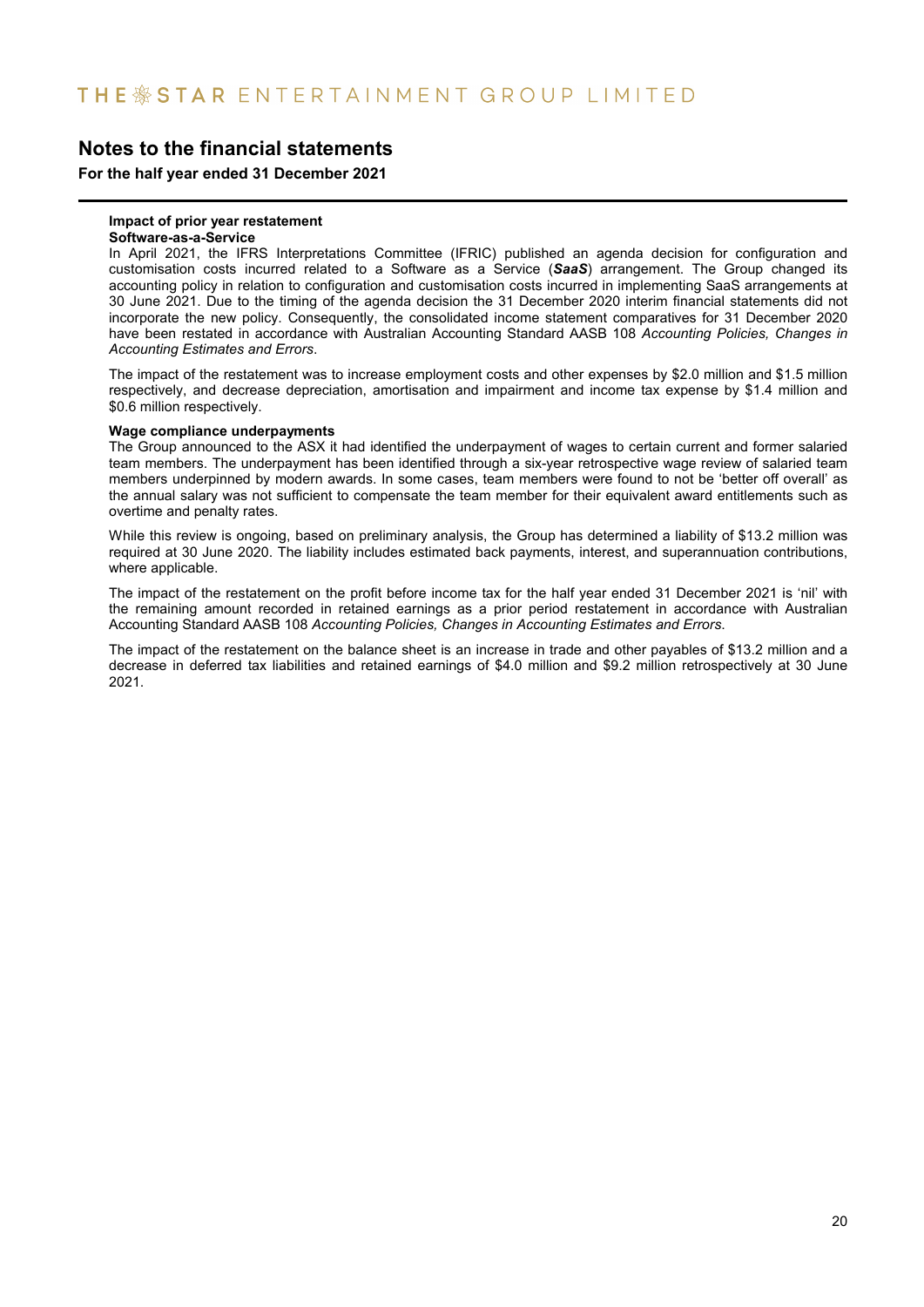**For the half year ended 31 December 2021**

#### **Impact of prior year restatement**

#### **Software-as-a-Service**

In April 2021, the IFRS Interpretations Committee (IFRIC) published an agenda decision for configuration and customisation costs incurred related to a Software as a Service (*SaaS*) arrangement. The Group changed its accounting policy in relation to configuration and customisation costs incurred in implementing SaaS arrangements at 30 June 2021. Due to the timing of the agenda decision the 31 December 2020 interim financial statements did not incorporate the new policy. Consequently, the consolidated income statement comparatives for 31 December 2020 have been restated in accordance with Australian Accounting Standard AASB 108 *Accounting Policies, Changes in Accounting Estimates and Errors*.

The impact of the restatement was to increase employment costs and other expenses by \$2.0 million and \$1.5 million respectively, and decrease depreciation, amortisation and impairment and income tax expense by \$1.4 million and \$0.6 million respectively.

#### **Wage compliance underpayments**

The Group announced to the ASX it had identified the underpayment of wages to certain current and former salaried team members. The underpayment has been identified through a six-year retrospective wage review of salaried team members underpinned by modern awards. In some cases, team members were found to not be 'better off overall' as the annual salary was not sufficient to compensate the team member for their equivalent award entitlements such as overtime and penalty rates.

While this review is ongoing, based on preliminary analysis, the Group has determined a liability of \$13.2 million was required at 30 June 2020. The liability includes estimated back payments, interest, and superannuation contributions, where applicable.

The impact of the restatement on the profit before income tax for the half year ended 31 December 2021 is 'nil' with the remaining amount recorded in retained earnings as a prior period restatement in accordance with Australian Accounting Standard AASB 108 *Accounting Policies, Changes in Accounting Estimates and Errors*.

The impact of the restatement on the balance sheet is an increase in trade and other payables of \$13.2 million and a decrease in deferred tax liabilities and retained earnings of \$4.0 million and \$9.2 million retrospectively at 30 June 2021.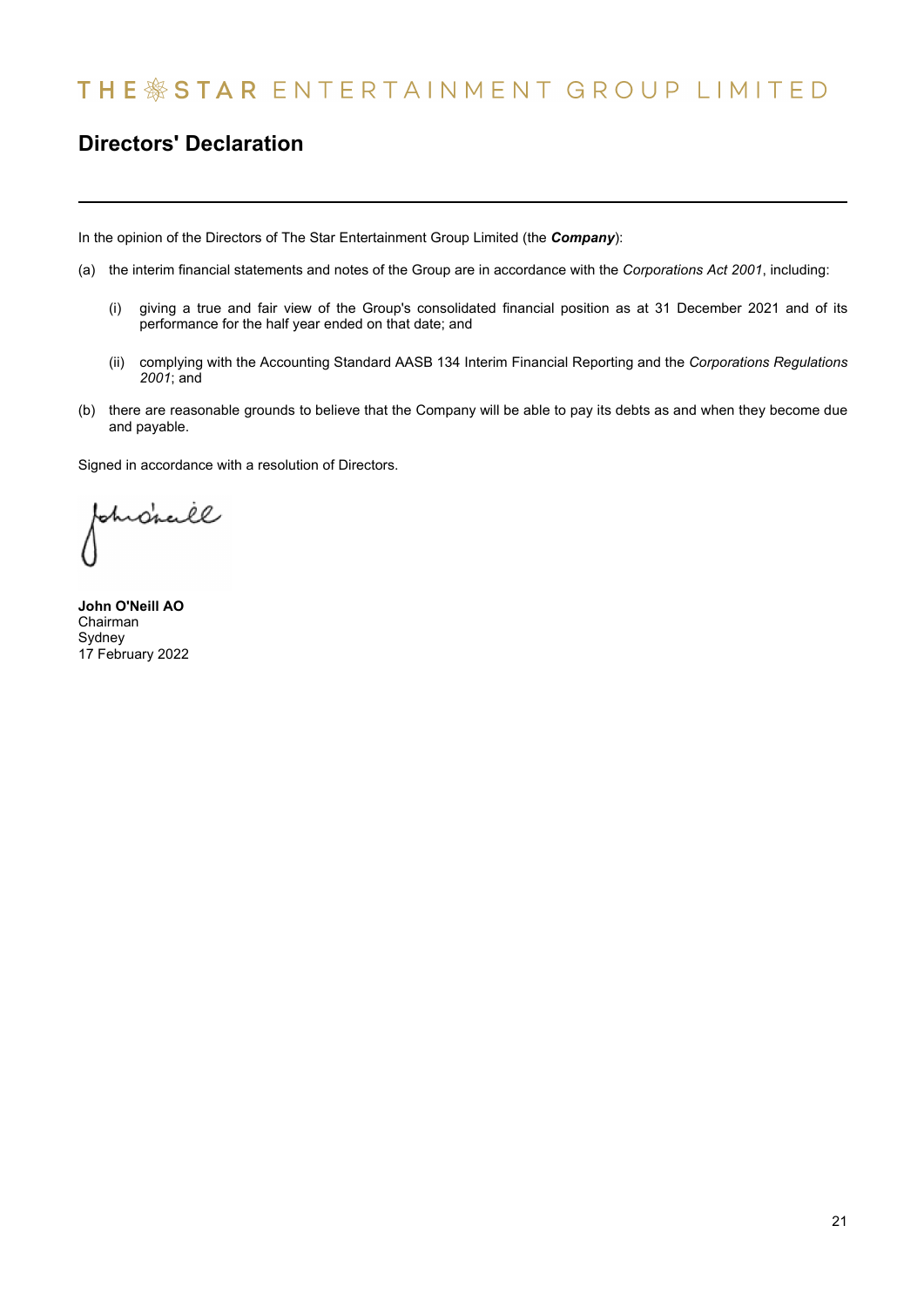# THE \*STAR ENTERTAINMENT GROUP LIMITED

## **Directors' Declaration**

In the opinion of the Directors of The Star Entertainment Group Limited (the *Company*):

- (a) the interim financial statements and notes of the Group are in accordance with the *Corporations Act 2001*, including:
	- (i) giving a true and fair view of the Group's consolidated financial position as at 31 December 2021 and of its performance for the half year ended on that date; and
	- (ii) complying with the Accounting Standard AASB 134 Interim Financial Reporting and the *Corporations Regulations 2001*; and
- (b) there are reasonable grounds to believe that the Company will be able to pay its debts as and when they become due and payable.

Signed in accordance with a resolution of Directors.

ohrdrall

**John O'Neill AO** Chairman Sydney 17 February 2022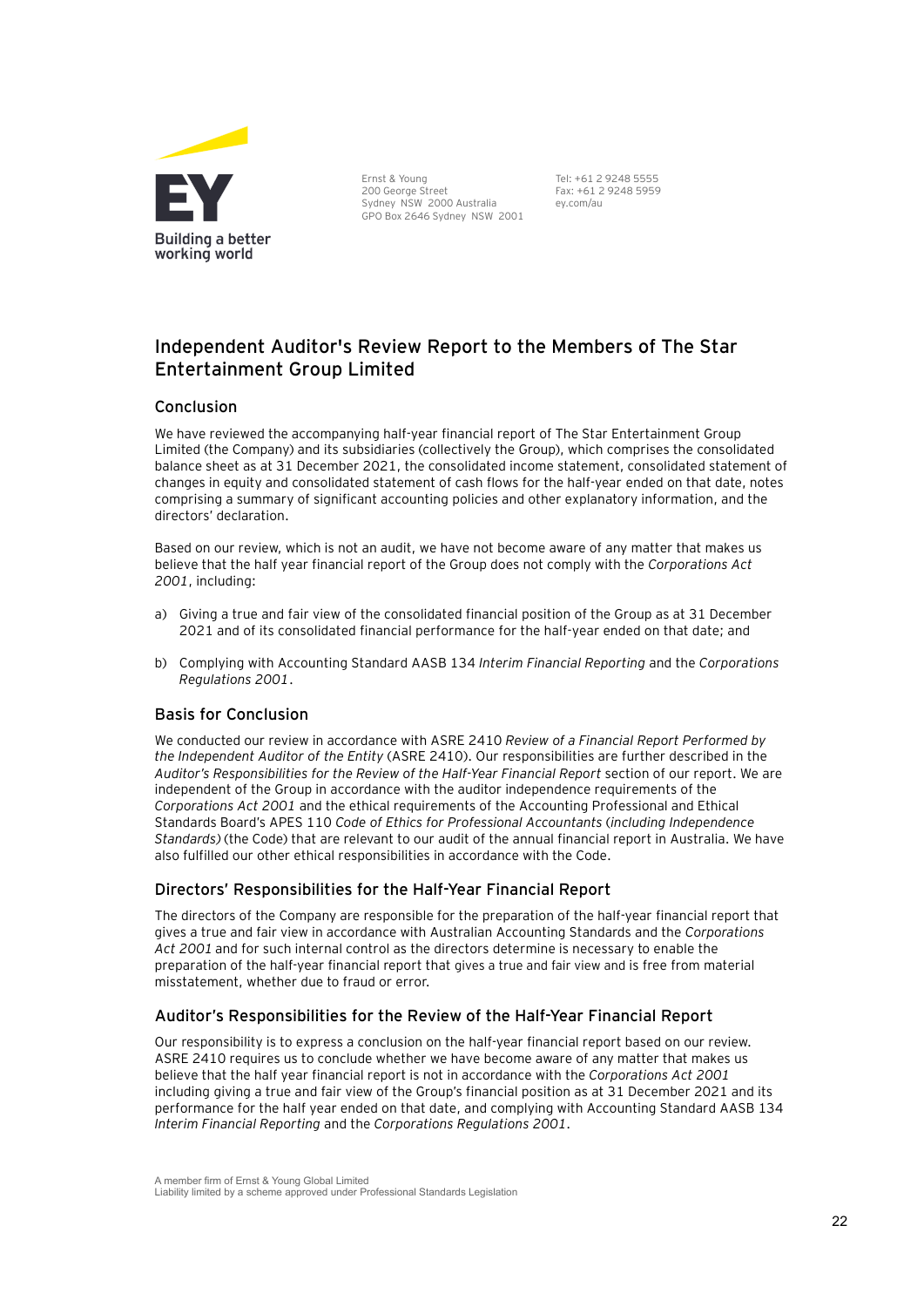

Ernst & Young 200 George Street Sydney NSW 2000 Australia GPO Box 2646 Sydney NSW 2001 Tel: +61 2 9248 5555 Fax: +61 2 9248 5959 ey.com/au

### **Independent Auditor's Review Report to the Members of The Star Entertainment Group Limited**

### Conclusion

We have reviewed the accompanying half-year financial report of The Star Entertainment Group Limited (the Company) and its subsidiaries (collectively the Group), which comprises the consolidated balance sheet as at 31 December 2021, the consolidated income statement, consolidated statement of changes in equity and consolidated statement of cash flows for the half-year ended on that date, notes comprising a summary of significant accounting policies and other explanatory information, and the directors' declaration.

Based on our review, which is not an audit, we have not become aware of any matter that makes us believe that the half year financial report of the Group does not comply with the *Corporations Act 2001*, including:

- a) Giving a true and fair view of the consolidated financial position of the Group as at 31 December 2021 and of its consolidated financial performance for the half-year ended on that date; and
- b) Complying with Accounting Standard AASB 134 *Interim Financial Reporting* and the *Corporations Regulations 2001*.

### Basis for Conclusion

We conducted our review in accordance with ASRE 2410 *Review of a Financial Report Performed by the Independent Auditor of the Entity* (ASRE 2410). Our responsibilities are further described in the *Auditors Responsibilities for the Review of the HalfYear Financial Report* section of our report. We are independent of the Group in accordance with the auditor independence requirements of the *Corporations Act 2001* and the ethical requirements of the Accounting Professional and Ethical Standards Boards APES 110 *Code of Ethics for Professional Accountants* (*including Independence Standards)* (the Code) that are relevant to our audit of the annual financial report in Australia. We have also fulfilled our other ethical responsibilities in accordance with the Code.

### Directors' Responsibilities for the Half-Year Financial Report

The directors of the Company are responsible for the preparation of the half-year financial report that gives a true and fair view in accordance with Australian Accounting Standards and the *Corporations Act 2001* and for such internal control as the directors determine is necessary to enable the preparation of the half-year financial report that gives a true and fair view and is free from material misstatement, whether due to fraud or error.

### Auditors Responsibilit**ies for the Review of the HalfYear Financial Report**

Our responsibility is to express a conclusion on the half-year financial report based on our review. ASRE 2410 requires us to conclude whether we have become aware of any matter that makes us believe that the half year financial report is not in accordance with the *Corporations Act 2001* including giving a true and fair view of the Group's financial position as at 31 December 2021 and its performance for the half year ended on that date, and complying with Accounting Standard AASB 134 *Interim Financial Reporting* and the *Corporations Regulations 2001*.